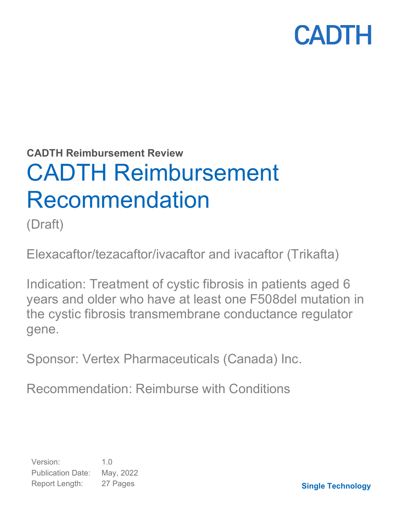**CADTH Reimbursement Review** 

# CADTH Reimbursement Recommendation

(Draft)

Elexacaftor/tezacaftor/ivacaftor and ivacaftor (Trikafta)

Indication: Treatment of cystic fibrosis in patients aged 6 years and older who have at least one F508del mutation in the cystic fibrosis transmembrane conductance regulator gene.

Sponsor: Vertex Pharmaceuticals (Canada) Inc.

Recommendation: Reimburse with Conditions

Version: 1.0 Publication Date: May, 2022 Report Length: 27 Pages

**Single Technology**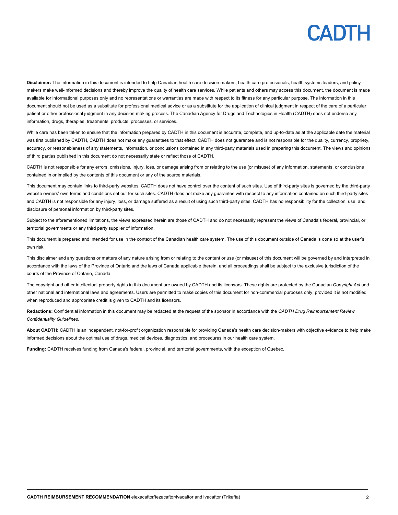**Disclaimer:** The information in this document is intended to help Canadian health care decision-makers, health care professionals, health systems leaders, and policymakers make well-informed decisions and thereby improve the quality of health care services. While patients and others may access this document, the document is made available for informational purposes only and no representations or warranties are made with respect to its fitness for any particular purpose. The information in this document should not be used as a substitute for professional medical advice or as a substitute for the application of clinical judgment in respect of the care of a particular patient or other professional judgment in any decision-making process. The Canadian Agency for Drugs and Technologies in Health (CADTH) does not endorse any information, drugs, therapies, treatments, products, processes, or services.

While care has been taken to ensure that the information prepared by CADTH in this document is accurate, complete, and up-to-date as at the applicable date the material was first published by CADTH, CADTH does not make any guarantees to that effect. CADTH does not guarantee and is not responsible for the quality, currency, propriety, accuracy, or reasonableness of any statements, information, or conclusions contained in any third-party materials used in preparing this document. The views and opinions of third parties published in this document do not necessarily state or reflect those of CADTH.

CADTH is not responsible for any errors, omissions, injury, loss, or damage arising from or relating to the use (or misuse) of any information, statements, or conclusions contained in or implied by the contents of this document or any of the source materials.

This document may contain links to third-party websites. CADTH does not have control over the content of such sites. Use of third-party sites is governed by the third-party website owners' own terms and conditions set out for such sites. CADTH does not make any guarantee with respect to any information contained on such third-party sites and CADTH is not responsible for any injury, loss, or damage suffered as a result of using such third-party sites. CADTH has no responsibility for the collection, use, and disclosure of personal information by third-party sites.

Subject to the aforementioned limitations, the views expressed herein are those of CADTH and do not necessarily represent the views of Canada's federal, provincial, or territorial governments or any third party supplier of information.

This document is prepared and intended for use in the context of the Canadian health care system. The use of this document outside of Canada is done so at the user's own risk.

This disclaimer and any questions or matters of any nature arising from or relating to the content or use (or misuse) of this document will be governed by and interpreted in accordance with the laws of the Province of Ontario and the laws of Canada applicable therein, and all proceedings shall be subject to the exclusive jurisdiction of the courts of the Province of Ontario, Canada.

The copyright and other intellectual property rights in this document are owned by CADTH and its licensors. These rights are protected by the Canadian *Copyright Act* and other national and international laws and agreements. Users are permitted to make copies of this document for non-commercial purposes only, provided it is not modified when reproduced and appropriate credit is given to CADTH and its licensors.

**Redactions:** Confidential information in this document may be redacted at the request of the sponsor in accordance with the *CADTH Drug Reimbursement Review Confidentiality Guidelines.*

**About CADTH:** CADTH is an independent, not-for-profit organization responsible for providing Canada's health care decision-makers with objective evidence to help make informed decisions about the optimal use of drugs, medical devices, diagnostics, and procedures in our health care system.

**Funding:** CADTH receives funding from Canada's federal, provincial, and territorial governments, with the exception of Quebec.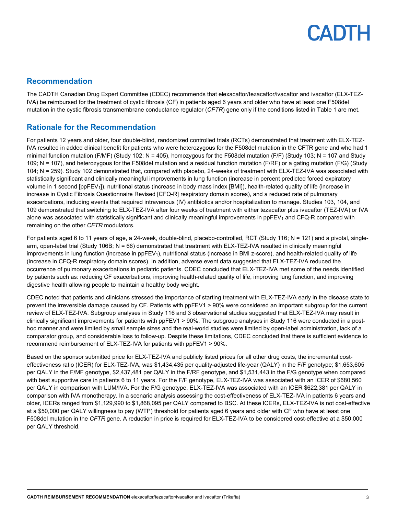### **Recommendation**

The CADTH Canadian Drug Expert Committee (CDEC) recommends that elexacaftor/tezacaftor/ivacaftor and ivacaftor (ELX-TEZ-IVA) be reimbursed for the treatment of cystic fibrosis (CF) in patients aged 6 years and older who have at least one F508del mutation in the cystic fibrosis transmembrane conductance regulator (*CFTR*) gene only if the conditions listed in [Table 1](#page-3-0) are met.

## **Rationale for the Recommendation**

For patients 12 years and older, four double-blind, randomized controlled trials (RCTs) demonstrated that treatment with ELX-TEZ-IVA resulted in added clinical benefit for patients who were heterozygous for the F508del mutation in the CFTR gene and who had 1 minimal function mutation (F/MF) (Study 102;  $N = 405$ ), homozygous for the F508del mutation (F/F) (Study 103;  $N = 107$  and Study 109; N = 107), and heterozygous for the F508del mutation and a residual function mutation (F/RF) or a gating mutation (F/G) (Study 104; N = 259). Study 102 demonstrated that, compared with placebo, 24-weeks of treatment with ELX-TEZ-IVA was associated with statistically significant and clinically meaningful improvements in lung function (increase in percent predicted forced expiratory volume in 1 second [ppFEV1]), nutritional status (increase in body mass index [BMI]), health-related quality of life (increase in increase in Cystic Fibrosis Questionnaire Revised [CFQ-R] respiratory domain scores), and a reduced rate of pulmonary exacerbations, including events that required intravenous (IV) antibiotics and/or hospitalization to manage. Studies 103, 104, and 109 demonstrated that switching to ELX-TEZ-IVA after four weeks of treatment with either tezacaftor plus ivacaftor (TEZ-IVA) or IVA alone was associated with statistically significant and clinically meaningful improvements in ppFEV<sub>1</sub> and CFQ-R compared with remaining on the other *CFTR* modulators.

For patients aged 6 to 11 years of age, a 24-week, double-blind, placebo-controlled, RCT (Study 116; N = 121) and a pivotal, singlearm, open-label trial (Study 106B; N = 66) demonstrated that treatment with ELX-TEZ-IVA resulted in clinically meaningful improvements in lung function (increase in ppFEV<sub>1</sub>), nutritional status (increase in BMI z-score), and health-related quality of life (increase in CFQ-R respiratory domain scores). In addition, adverse event data suggested that ELX-TEZ-IVA reduced the occurrence of pulmonary exacerbations in pediatric patients. CDEC concluded that ELX-TEZ-IVA met some of the needs identified by patients such as: reducing CF exacerbations, improving health-related quality of life, improving lung function, and improving digestive health allowing people to maintain a healthy body weight.

CDEC noted that patients and clinicians stressed the importance of starting treatment with ELX-TEZ-IVA early in the disease state to prevent the irreversible damage caused by CF. Patients with ppFEV1 > 90% were considered an important subgroup for the current review of ELX-TEZ-IVA. Subgroup analyses in Study 116 and 3 observational studies suggested that ELX-TEZ-IVA may result in clinically significant improvements for patients with ppFEV1 > 90%. The subgroup analyses in Study 116 were conducted in a posthoc manner and were limited by small sample sizes and the real-world studies were limited by open-label administration, lack of a comparator group, and considerable loss to follow-up. Despite these limitations, CDEC concluded that there is sufficient evidence to recommend reimbursement of ELX-TEZ-IVA for patients with ppFEV1 > 90%.

Based on the sponsor submitted price for ELX-TEZ-IVA and publicly listed prices for all other drug costs, the incremental costeffectiveness ratio (ICER) for ELX-TEZ-IVA, was \$1,434,435 per quality-adjusted life-year (QALY) in the F/F genotype; \$1,653,605 per QALY in the F/MF genotype, \$2,437,481 per QALY in the F/RF genotype, and \$1,531,443 in the F/G genotype when compared with best supportive care in patients 6 to 11 years. For the F/F genotype, ELX-TEZ-IVA was associated with an ICER of \$680,560 per QALY in comparison with LUM/IVA. For the F/G genotype, ELX-TEZ-IVA was associated with an ICER \$622,381 per QALY in comparison with IVA monotherapy. In a scenario analysis assessing the cost-effectiveness of ELX-TEZ-IVA in patients 6 years and older, ICERs ranged from \$1,129,990 to \$1,868,095 per QALY compared to BSC. At these ICERs, ELX-TEZ-IVA is not cost-effective at a \$50,000 per QALY willingness to pay (WTP) threshold for patients aged 6 years and older with CF who have at least one F508del mutation in the *CFTR* gene. A reduction in price is required for ELX-TEZ-IVA to be considered cost-effective at a \$50,000 per QALY threshold.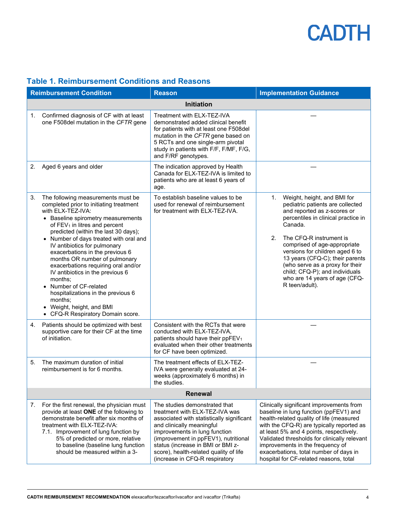| <b>Reimbursement Condition</b> |                                                                                                                                                                                                                                                                                                                                                                                                                                                                                                                                                                                                              | <b>Reason</b>                                                                                                                                                                                                                                                                                                                       | <b>Implementation Guidance</b>                                                                                                                                                                                                                                                                                                                                                                                        |  |
|--------------------------------|--------------------------------------------------------------------------------------------------------------------------------------------------------------------------------------------------------------------------------------------------------------------------------------------------------------------------------------------------------------------------------------------------------------------------------------------------------------------------------------------------------------------------------------------------------------------------------------------------------------|-------------------------------------------------------------------------------------------------------------------------------------------------------------------------------------------------------------------------------------------------------------------------------------------------------------------------------------|-----------------------------------------------------------------------------------------------------------------------------------------------------------------------------------------------------------------------------------------------------------------------------------------------------------------------------------------------------------------------------------------------------------------------|--|
|                                |                                                                                                                                                                                                                                                                                                                                                                                                                                                                                                                                                                                                              | <b>Initiation</b>                                                                                                                                                                                                                                                                                                                   |                                                                                                                                                                                                                                                                                                                                                                                                                       |  |
| 1.                             | Confirmed diagnosis of CF with at least<br>one F508del mutation in the CFTR gene                                                                                                                                                                                                                                                                                                                                                                                                                                                                                                                             | Treatment with ELX-TEZ-IVA<br>demonstrated added clinical benefit<br>for patients with at least one F508del<br>mutation in the CFTR gene based on<br>5 RCTs and one single-arm pivotal<br>study in patients with F/F, F/MF, F/G,<br>and F/RF genotypes.                                                                             |                                                                                                                                                                                                                                                                                                                                                                                                                       |  |
| 2.                             | Aged 6 years and older                                                                                                                                                                                                                                                                                                                                                                                                                                                                                                                                                                                       | The indication approved by Health<br>Canada for ELX-TEZ-IVA is limited to<br>patients who are at least 6 years of<br>age.                                                                                                                                                                                                           |                                                                                                                                                                                                                                                                                                                                                                                                                       |  |
| 3.                             | The following measurements must be<br>completed prior to initiating treatment<br>with ELX-TEZ-IVA:<br>• Baseline spirometry measurements<br>of FEV <sub>1</sub> in litres and percent<br>predicted (within the last 30 days);<br>• Number of days treated with oral and<br>IV antibiotics for pulmonary<br>exacerbations in the previous 6<br>months OR number of pulmonary<br>exacerbations requiring oral and/or<br>IV antibiotics in the previous 6<br>months;<br>Number of CF-related<br>hospitalizations in the previous 6<br>months;<br>• Weight, height, and BMI<br>• CFQ-R Respiratory Domain score. | To establish baseline values to be<br>used for renewal of reimbursement<br>for treatment with ELX-TEZ-IVA.                                                                                                                                                                                                                          | Weight, height, and BMI for<br>1.<br>pediatric patients are collected<br>and reported as z-scores or<br>percentiles in clinical practice in<br>Canada.<br>2.<br>The CFQ-R instrument is<br>comprised of age-appropriate<br>versions for children aged 6 to<br>13 years (CFQ-C); their parents<br>(who serve as a proxy for their<br>child; CFQ-P); and individuals<br>who are 14 years of age (CFQ-<br>R teen/adult). |  |
| 4.                             | Patients should be optimized with best<br>supportive care for their CF at the time<br>of initiation.                                                                                                                                                                                                                                                                                                                                                                                                                                                                                                         | Consistent with the RCTs that were<br>conducted with ELX-TEZ-IVA,<br>patients should have their ppFEV <sub>1</sub><br>evaluated when their other treatments<br>for CF have been optimized.                                                                                                                                          |                                                                                                                                                                                                                                                                                                                                                                                                                       |  |
| 5.                             | The maximum duration of initial<br>reimbursement is for 6 months.                                                                                                                                                                                                                                                                                                                                                                                                                                                                                                                                            | The treatment effects of ELX-TEZ-<br>IVA were generally evaluated at 24-<br>weeks (approximately 6 months) in<br>the studies.                                                                                                                                                                                                       |                                                                                                                                                                                                                                                                                                                                                                                                                       |  |
| <b>Renewal</b>                 |                                                                                                                                                                                                                                                                                                                                                                                                                                                                                                                                                                                                              |                                                                                                                                                                                                                                                                                                                                     |                                                                                                                                                                                                                                                                                                                                                                                                                       |  |
| 7.                             | For the first renewal, the physician must<br>provide at least ONE of the following to<br>demonstrate benefit after six months of<br>treatment with ELX-TEZ-IVA:<br>7.1. Improvement of lung function by<br>5% of predicted or more, relative<br>to baseline (baseline lung function<br>should be measured within a 3-                                                                                                                                                                                                                                                                                        | The studies demonstrated that<br>treatment with ELX-TEZ-IVA was<br>associated with statistically significant<br>and clinically meaningful<br>improvements in lung function<br>(improvement in ppFEV1), nutritional<br>status (increase in BMI or BMI z-<br>score), health-related quality of life<br>(increase in CFQ-R respiratory | Clinically significant improvements from<br>baseline in lung function (ppFEV1) and<br>health-related quality of life (measured<br>with the CFQ-R) are typically reported as<br>at least 5% and 4 points, respectively.<br>Validated thresholds for clinically relevant<br>improvements in the frequency of<br>exacerbations, total number of days in<br>hospital for CF-related reasons, total                        |  |

## <span id="page-3-0"></span>**Table 1. Reimbursement Conditions and Reasons**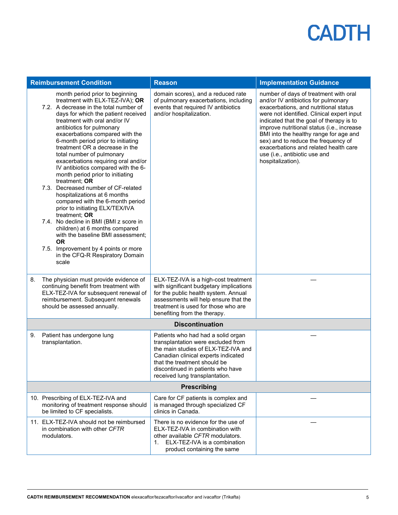| <b>Reimbursement Condition</b> |                                                                                                                                                                                                                                                                                                                                                                                                                                                                                                                                                                                                                                                                                                                                                                                                                                                                               | <b>Reason</b>                                                                                                                                                                                                                                                 | <b>Implementation Guidance</b>                                                                                                                                                                                                                                                                                                                                                                                                                |  |
|--------------------------------|-------------------------------------------------------------------------------------------------------------------------------------------------------------------------------------------------------------------------------------------------------------------------------------------------------------------------------------------------------------------------------------------------------------------------------------------------------------------------------------------------------------------------------------------------------------------------------------------------------------------------------------------------------------------------------------------------------------------------------------------------------------------------------------------------------------------------------------------------------------------------------|---------------------------------------------------------------------------------------------------------------------------------------------------------------------------------------------------------------------------------------------------------------|-----------------------------------------------------------------------------------------------------------------------------------------------------------------------------------------------------------------------------------------------------------------------------------------------------------------------------------------------------------------------------------------------------------------------------------------------|--|
|                                | month period prior to beginning<br>treatment with ELX-TEZ-IVA); OR<br>7.2. A decrease in the total number of<br>days for which the patient received<br>treatment with oral and/or IV<br>antibiotics for pulmonary<br>exacerbations compared with the<br>6-month period prior to initiating<br>treatment OR a decrease in the<br>total number of pulmonary<br>exacerbations requiring oral and/or<br>IV antibiotics compared with the 6-<br>month period prior to initiating<br>treatment; OR<br>7.3. Decreased number of CF-related<br>hospitalizations at 6 months<br>compared with the 6-month period<br>prior to initiating ELX/TEX/IVA<br>treatment; OR<br>7.4. No decline in BMI (BMI z score in<br>children) at 6 months compared<br>with the baseline BMI assessment;<br><b>OR</b><br>7.5. Improvement by 4 points or more<br>in the CFQ-R Respiratory Domain<br>scale | domain scores), and a reduced rate<br>of pulmonary exacerbations, including<br>events that required IV antibiotics<br>and/or hospitalization.                                                                                                                 | number of days of treatment with oral<br>and/or IV antibiotics for pulmonary<br>exacerbations, and nutritional status<br>were not identified. Clinical expert input<br>indicated that the goal of therapy is to<br>improve nutritional status (i.e., increase<br>BMI into the healthy range for age and<br>sex) and to reduce the frequency of<br>exacerbations and related health care<br>use (i.e., antibiotic use and<br>hospitalization). |  |
| 8.                             | The physician must provide evidence of<br>continuing benefit from treatment with<br>ELX-TEZ-IVA for subsequent renewal of<br>reimbursement. Subsequent renewals<br>should be assessed annually.                                                                                                                                                                                                                                                                                                                                                                                                                                                                                                                                                                                                                                                                               | ELX-TEZ-IVA is a high-cost treatment<br>with significant budgetary implications<br>for the public health system. Annual<br>assessments will help ensure that the<br>treatment is used for those who are<br>benefiting from the therapy.                       |                                                                                                                                                                                                                                                                                                                                                                                                                                               |  |
|                                | <b>Discontinuation</b>                                                                                                                                                                                                                                                                                                                                                                                                                                                                                                                                                                                                                                                                                                                                                                                                                                                        |                                                                                                                                                                                                                                                               |                                                                                                                                                                                                                                                                                                                                                                                                                                               |  |
| 9.                             | Patient has undergone lung<br>transplantation.                                                                                                                                                                                                                                                                                                                                                                                                                                                                                                                                                                                                                                                                                                                                                                                                                                | Patients who had had a solid organ<br>transplantation were excluded from<br>the main studies of ELX-TEZ-IVA and<br>Canadian clinical experts indicated<br>that the treatment should be<br>discontinued in patients who have<br>received lung transplantation. |                                                                                                                                                                                                                                                                                                                                                                                                                                               |  |
|                                | Prescribing                                                                                                                                                                                                                                                                                                                                                                                                                                                                                                                                                                                                                                                                                                                                                                                                                                                                   |                                                                                                                                                                                                                                                               |                                                                                                                                                                                                                                                                                                                                                                                                                                               |  |
|                                | 10. Prescribing of ELX-TEZ-IVA and<br>monitoring of treatment response should<br>be limited to CF specialists.                                                                                                                                                                                                                                                                                                                                                                                                                                                                                                                                                                                                                                                                                                                                                                | Care for CF patients is complex and<br>is managed through specialized CF<br>clinics in Canada.                                                                                                                                                                |                                                                                                                                                                                                                                                                                                                                                                                                                                               |  |
|                                | 11. ELX-TEZ-IVA should not be reimbursed<br>in combination with other CFTR<br>modulators.                                                                                                                                                                                                                                                                                                                                                                                                                                                                                                                                                                                                                                                                                                                                                                                     | There is no evidence for the use of<br>ELX-TEZ-IVA in combination with<br>other available CFTR modulators.<br>ELX-TEZ-IVA is a combination<br>$1_{-}$<br>product containing the same                                                                          |                                                                                                                                                                                                                                                                                                                                                                                                                                               |  |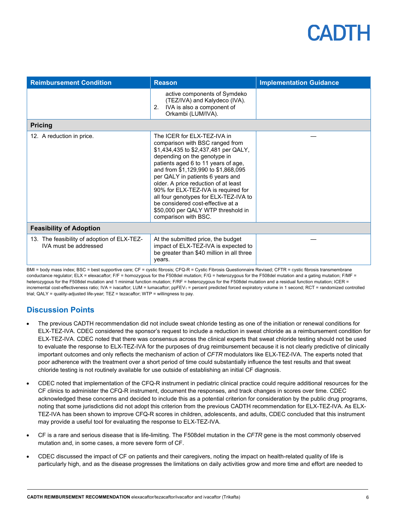| <b>Reimbursement Condition</b>                                       | <b>Reason</b>                                                                                                                                                                                                                                                                                                                                                                                                                                                                       | <b>Implementation Guidance</b> |
|----------------------------------------------------------------------|-------------------------------------------------------------------------------------------------------------------------------------------------------------------------------------------------------------------------------------------------------------------------------------------------------------------------------------------------------------------------------------------------------------------------------------------------------------------------------------|--------------------------------|
|                                                                      | active components of Symdeko<br>(TEZ/IVA) and Kalydeco (IVA).<br>IVA is also a component of<br>2.<br>Orkambi (LUM/IVA).                                                                                                                                                                                                                                                                                                                                                             |                                |
| <b>Pricing</b>                                                       |                                                                                                                                                                                                                                                                                                                                                                                                                                                                                     |                                |
| 12. A reduction in price.                                            | The ICER for ELX-TEZ-IVA in<br>comparison with BSC ranged from<br>\$1,434,435 to \$2,437,481 per QALY,<br>depending on the genotype in<br>patients aged 6 to 11 years of age,<br>and from \$1,129,990 to \$1,868,095<br>per QALY in patients 6 years and<br>older. A price reduction of at least<br>90% for ELX-TEZ-IVA is required for<br>all four genotypes for ELX-TEZ-IVA to<br>be considered cost-effective at a<br>\$50,000 per QALY WTP threshold in<br>comparison with BSC. |                                |
| <b>Feasibility of Adoption</b>                                       |                                                                                                                                                                                                                                                                                                                                                                                                                                                                                     |                                |
| 13. The feasibility of adoption of ELX-TEZ-<br>IVA must be addressed | At the submitted price, the budget<br>impact of ELX-TEZ-IVA is expected to<br>be greater than \$40 million in all three<br>years.                                                                                                                                                                                                                                                                                                                                                   |                                |

BMI = body mass index; BSC = best supportive care; CF = cystic fibrosis; CFQ-R = Cystic Fibrosis Questionnaire Revised; CFTR = cystic fibrosis transmembrane conductance regulator; ELX = elexacaftor; F/F = homozygous for the F508del mutation; F/G = heterozygous for the F508del mutation and a gating mutation; F/MF = heterozygous for the F508del mutation and 1 minimal function mutation; F/RF = heterozygous for the F508del mutation and a residual function mutation; ICER = incremental cost-effectiveness ratio; IVA = ivacaftor; LUM = lumacaftor; ppFEV<sub>1</sub> = percent predicted forced expiratory volume in 1 second; RCT = randomized controlled trial; QALY = quality-adjusted life-year; TEZ = tezacaftor; WTP = willingness to pay.

## **Discussion Points**

- The previous CADTH recommendation did not include sweat chloride testing as one of the initiation or renewal conditions for ELX-TEZ-IVA. CDEC considered the sponsor's request to include a reduction in sweat chloride as a reimbursement condition for ELX-TEZ-IVA. CDEC noted that there was consensus across the clinical experts that sweat chloride testing should not be used to evaluate the response to ELX-TEZ-IVA for the purposes of drug reimbursement because it is not clearly predictive of clinically important outcomes and only reflects the mechanism of action of *CFTR* modulators like ELX-TEZ-IVA. The experts noted that poor adherence with the treatment over a short period of time could substantially influence the test results and that sweat chloride testing is not routinely available for use outside of establishing an initial CF diagnosis.
- CDEC noted that implementation of the CFQ-R instrument in pediatric clinical practice could require additional resources for the CF clinics to administer the CFQ-R instrument, document the responses, and track changes in scores over time. CDEC acknowledged these concerns and decided to include this as a potential criterion for consideration by the public drug programs, noting that some jurisdictions did not adopt this criterion from the previous CADTH recommendation for ELX-TEZ-IVA. As ELX-TEZ-IVA has been shown to improve CFQ-R scores in children, adolescents, and adults, CDEC concluded that this instrument may provide a useful tool for evaluating the response to ELX-TEZ-IVA.
- CF is a rare and serious disease that is life-limiting. The F508del mutation in the *CFTR* gene is the most commonly observed mutation and, in some cases, a more severe form of CF.
- CDEC discussed the impact of CF on patients and their caregivers, noting the impact on health-related quality of life is particularly high, and as the disease progresses the limitations on daily activities grow and more time and effort are needed to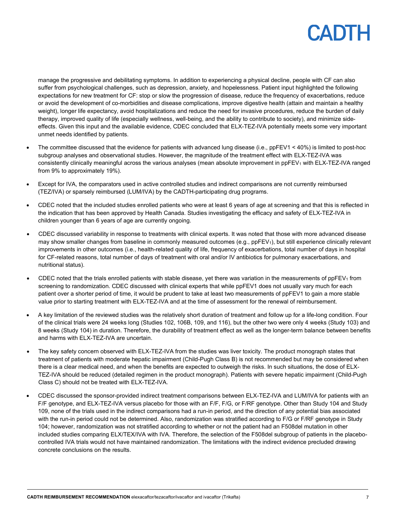manage the progressive and debilitating symptoms. In addition to experiencing a physical decline, people with CF can also suffer from psychological challenges, such as depression, anxiety, and hopelessness. Patient input highlighted the following expectations for new treatment for CF: stop or slow the progression of disease, reduce the frequency of exacerbations, reduce or avoid the development of co-morbidities and disease complications, improve digestive health (attain and maintain a healthy weight), longer life expectancy, avoid hospitalizations and reduce the need for invasive procedures, reduce the burden of daily therapy, improved quality of life (especially wellness, well-being, and the ability to contribute to society), and minimize sideeffects. Given this input and the available evidence, CDEC concluded that ELX-TEZ-IVA potentially meets some very important unmet needs identified by patients.

- The committee discussed that the evidence for patients with advanced lung disease (i.e., ppFEV1 < 40%) is limited to post-hoc subgroup analyses and observational studies. However, the magnitude of the treatment effect with ELX-TEZ-IVA was consistently clinically meaningful across the various analyses (mean absolute improvement in ppFEV<sub>1</sub> with ELX-TEZ-IVA ranged from 9% to approximately 19%).
- Except for IVA, the comparators used in active controlled studies and indirect comparisons are not currently reimbursed (TEZ/IVA) or sparsely reimbursed (LUM/IVA) by the CADTH-participating drug programs.
- CDEC noted that the included studies enrolled patients who were at least 6 years of age at screening and that this is reflected in the indication that has been approved by Health Canada. Studies investigating the efficacy and safety of ELX-TEZ-IVA in children younger than 6 years of age are currently ongoing.
- CDEC discussed variability in response to treatments with clinical experts. It was noted that those with more advanced disease may show smaller changes from baseline in commonly measured outcomes (e.g., ppFEV<sub>1</sub>), but still experience clinically relevant improvements in other outcomes (i.e., health-related quality of life, frequency of exacerbations, total number of days in hospital for CF-related reasons, total number of days of treatment with oral and/or IV antibiotics for pulmonary exacerbations, and nutritional status).
- CDEC noted that the trials enrolled patients with stable disease, yet there was variation in the measurements of ppFEV1 from screening to randomization. CDEC discussed with clinical experts that while ppFEV1 does not usually vary much for each patient over a shorter period of time, it would be prudent to take at least two measurements of ppFEV1 to gain a more stable value prior to starting treatment with ELX-TEZ-IVA and at the time of assessment for the renewal of reimbursement.
- A key limitation of the reviewed studies was the relatively short duration of treatment and follow up for a life-long condition. Four of the clinical trials were 24 weeks long (Studies 102, 106B, 109, and 116), but the other two were only 4 weeks (Study 103) and 8 weeks (Study 104) in duration. Therefore, the durability of treatment effect as well as the longer-term balance between benefits and harms with ELX-TEZ-IVA are uncertain.
- The key safety concern observed with ELX-TEZ-IVA from the studies was liver toxicity. The product monograph states that treatment of patients with moderate hepatic impairment (Child-Pugh Class B) is not recommended but may be considered when there is a clear medical need, and when the benefits are expected to outweigh the risks. In such situations, the dose of ELX-TEZ-IVA should be reduced (detailed regimen in the product monograph). Patients with severe hepatic impairment (Child-Pugh Class C) should not be treated with ELX-TEZ-IVA.
- CDEC discussed the sponsor-provided indirect treatment comparisons between ELX-TEZ-IVA and LUM/IVA for patients with an F/F genotype, and ELX-TEZ-IVA versus placebo for those with an F/F, F/G, or F/RF genotype. Other than Study 104 and Study 109, none of the trials used in the indirect comparisons had a run-in period, and the direction of any potential bias associated with the run-in period could not be determined. Also, randomization was stratified according to F/G or F/RF genotype in Study 104; however, randomization was not stratified according to whether or not the patient had an F508del mutation in other included studies comparing ELX/TEX/IVA with IVA. Therefore, the selection of the F508del subgroup of patients in the placebocontrolled IVA trials would not have maintained randomization. The limitations with the indirect evidence precluded drawing concrete conclusions on the results.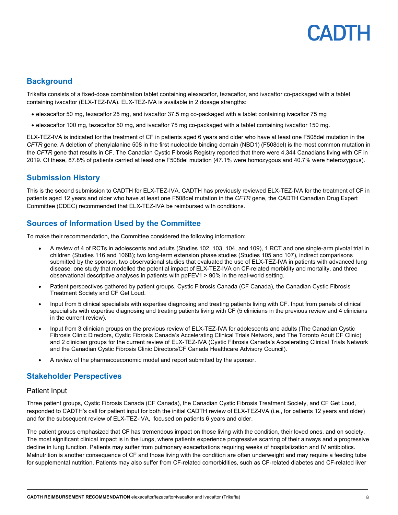## **Background**

Trikafta consists of a fixed-dose combination tablet containing elexacaftor, tezacaftor, and ivacaftor co-packaged with a tablet containing ivacaftor (ELX-TEZ-IVA). ELX-TEZ-IVA is available in 2 dosage strengths:

- elexacaftor 50 mg, tezacaftor 25 mg, and ivacaftor 37.5 mg co-packaged with a tablet containing ivacaftor 75 mg
- elexacaftor 100 mg, tezacaftor 50 mg, and ivacaftor 75 mg co-packaged with a tablet containing ivacaftor 150 mg.

ELX-TEZ-IVA is indicated for the treatment of CF in patients aged 6 years and older who have at least one F508del mutation in the *CFTR* gene. A deletion of phenylalanine 508 in the first nucleotide binding domain (NBD1) (F508del) is the most common mutation in the *CFTR* gene that results in CF. The Canadian Cystic Fibrosis Registry reported that there were 4,344 Canadians living with CF in 2019. Of these, 87.8% of patients carried at least one F508del mutation (47.1% were homozygous and 40.7% were heterozygous).

## **Submission History**

This is the second submission to CADTH for ELX-TEZ-IVA. CADTH has previously reviewed ELX-TEZ-IVA for the treatment of CF in patients aged 12 years and older who have at least one F508del mutation in the *CFTR* gene, the CADTH Canadian Drug Expert Committee (CDEC) recommended that ELX-TEZ-IVA be reimbursed with conditions.

## **Sources of Information Used by the Committee**

To make their recommendation, the Committee considered the following information:

- A review of 4 of RCTs in adolescents and adults (Studies 102, 103, 104, and 109), 1 RCT and one single-arm pivotal trial in children (Studies 116 and 106B); two long-term extension phase studies (Studies 105 and 107), indirect comparisons submitted by the sponsor, two observational studies that evaluated the use of ELX-TEZ-IVA in patients with advanced lung disease, one study that modelled the potential impact of ELX-TEZ-IVA on CF-related morbidity and mortality, and three observational descriptive analyses in patients with ppFEV1 > 90% in the real-world setting.
- Patient perspectives gathered by patient groups, Cystic Fibrosis Canada (CF Canada), the Canadian Cystic Fibrosis Treatment Society and CF Get Loud.
- Input from 5 clinical specialists with expertise diagnosing and treating patients living with CF. Input from panels of clinical specialists with expertise diagnosing and treating patients living with CF (5 clinicians in the previous review and 4 clinicians in the current review).
- Input from 3 clinician groups on the previous review of ELX-TEZ-IVA for adolescents and adults (The Canadian Cystic Fibrosis Clinic Directors, Cystic Fibrosis Canada's Accelerating Clinical Trials Network, and The Toronto Adult CF Clinic) and 2 clinician groups for the current review of ELX-TEZ-IVA (Cystic Fibrosis Canada's Accelerating Clinical Trials Network and the Canadian Cystic Fibrosis Clinic Directors/CF Canada Healthcare Advisory Council).
- A review of the pharmacoeconomic model and report submitted by the sponsor.

### **Stakeholder Perspectives**

#### Patient Input

Three patient groups, Cystic Fibrosis Canada (CF Canada), the Canadian Cystic Fibrosis Treatment Society, and CF Get Loud, responded to CADTH's call for patient input for both the initial CADTH review of ELX-TEZ-IVA (i.e., for patients 12 years and older) and for the subsequent review of ELX-TEZ-IVA, focused on patients 6 years and older.

The patient groups emphasized that CF has tremendous impact on those living with the condition, their loved ones, and on society. The most significant clinical impact is in the lungs, where patients experience progressive scarring of their airways and a progressive decline in lung function. Patients may suffer from pulmonary exacerbations requiring weeks of hospitalization and IV antibiotics. Malnutrition is another consequence of CF and those living with the condition are often underweight and may require a feeding tube for supplemental nutrition. Patients may also suffer from CF-related comorbidities, such as CF-related diabetes and CF-related liver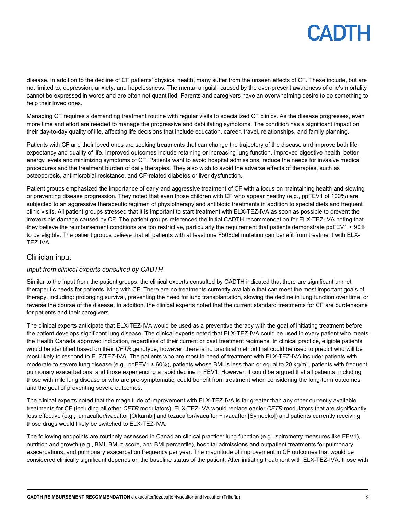disease. In addition to the decline of CF patients' physical health, many suffer from the unseen effects of CF. These include, but are not limited to, depression, anxiety, and hopelessness. The mental anguish caused by the ever-present awareness of one's mortality cannot be expressed in words and are often not quantified. Parents and caregivers have an overwhelming desire to do something to help their loved ones.

Managing CF requires a demanding treatment routine with regular visits to specialized CF clinics. As the disease progresses, even more time and effort are needed to manage the progressive and debilitating symptoms. The condition has a significant impact on their day-to-day quality of life, affecting life decisions that include education, career, travel, relationships, and family planning.

Patients with CF and their loved ones are seeking treatments that can change the trajectory of the disease and improve both life expectancy and quality of life. Improved outcomes include retaining or increasing lung function, improved digestive health, better energy levels and minimizing symptoms of CF. Patients want to avoid hospital admissions, reduce the needs for invasive medical procedures and the treatment burden of daily therapies. They also wish to avoid the adverse effects of therapies, such as osteoporosis, antimicrobial resistance, and CF-related diabetes or liver dysfunction.

Patient groups emphasized the importance of early and aggressive treatment of CF with a focus on maintaining health and slowing or preventing disease progression. They noted that even those children with CF who appear healthy (e.g., ppFEV1 of 100%) are subjected to an aggressive therapeutic regimen of physiotherapy and antibiotic treatments in addition to special diets and frequent clinic visits. All patient groups stressed that it is important to start treatment with ELX-TEZ-IVA as soon as possible to prevent the irreversible damage caused by CF. The patient groups referenced the initial CADTH recommendation for ELX-TEZ-IVA noting that they believe the reimbursement conditions are too restrictive, particularly the requirement that patients demonstrate ppFEV1 < 90% to be eligible. The patient groups believe that all patients with at least one F508del mutation can benefit from treatment with ELX-TEZ-IVA.

#### Clinician input

#### *Input from clinical experts consulted by CADTH*

Similar to the input from the patient groups, the clinical experts consulted by CADTH indicated that there are significant unmet therapeutic needs for patients living with CF. There are no treatments currently available that can meet the most important goals of therapy, including: prolonging survival, preventing the need for lung transplantation, slowing the decline in lung function over time, or reverse the course of the disease. In addition, the clinical experts noted that the current standard treatments for CF are burdensome for patients and their caregivers.

The clinical experts anticipate that ELX-TEZ-IVA would be used as a preventive therapy with the goal of initiating treatment before the patient develops significant lung disease. The clinical experts noted that ELX-TEZ-IVA could be used in every patient who meets the Health Canada approved indication, regardless of their current or past treatment regimens. In clinical practice, eligible patients would be identified based on their *CFTR* genotype; however, there is no practical method that could be used to predict who will be most likely to respond to ELZ/TEZ-IVA. The patients who are most in need of treatment with ELX-TEZ-IVA include: patients with moderate to severe lung disease (e.g., ppFEV1  $\leq$  60%), patients whose BMI is less than or equal to 20 kg/m<sup>2</sup>, patients with frequent pulmonary exacerbations, and those experiencing a rapid decline in FEV1. However, it could be argued that all patients, including those with mild lung disease or who are pre-symptomatic, could benefit from treatment when considering the long-term outcomes and the goal of preventing severe outcomes.

The clinical experts noted that the magnitude of improvement with ELX-TEZ-IVA is far greater than any other currently available treatments for CF (including all other *CFTR* modulators). ELX-TEZ-IVA would replace earlier *CFTR* modulators that are significantly less effective (e.g., lumacaftor/ivacaftor [Orkambi] and tezacaftor/ivacaftor + ivacaftor [Symdeko]) and patients currently receiving those drugs would likely be switched to ELX-TEZ-IVA.

The following endpoints are routinely assessed in Canadian clinical practice: lung function (e.g., spirometry measures like FEV1), nutrition and growth (e.g., BMI, BMI z-score, and BMI percentile), hospital admissions and outpatient treatments for pulmonary exacerbations, and pulmonary exacerbation frequency per year. The magnitude of improvement in CF outcomes that would be considered clinically significant depends on the baseline status of the patient. After initiating treatment with ELX-TEZ-IVA, those with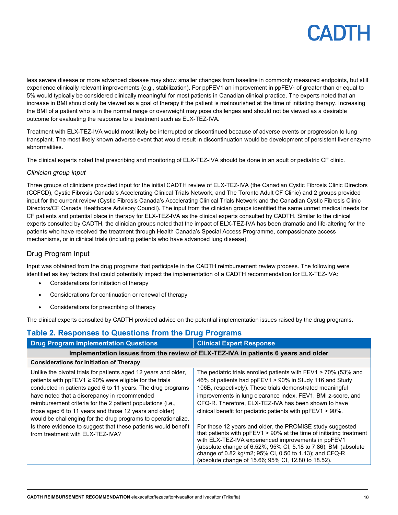less severe disease or more advanced disease may show smaller changes from baseline in commonly measured endpoints, but still experience clinically relevant improvements (e.g., stabilization). For ppFEV1 an improvement in ppFEV1 of greater than or equal to 5% would typically be considered clinically meaningful for most patients in Canadian clinical practice. The experts noted that an increase in BMI should only be viewed as a goal of therapy if the patient is malnourished at the time of initiating therapy. Increasing the BMI of a patient who is in the normal range or overweight may pose challenges and should not be viewed as a desirable outcome for evaluating the response to a treatment such as ELX-TEZ-IVA.

Treatment with ELX-TEZ-IVA would most likely be interrupted or discontinued because of adverse events or progression to lung transplant. The most likely known adverse event that would result in discontinuation would be development of persistent liver enzyme abnormalities.

The clinical experts noted that prescribing and monitoring of ELX-TEZ-IVA should be done in an adult or pediatric CF clinic.

#### *Clinician group input*

Three groups of clinicians provided input for the initial CADTH review of ELX-TEZ-IVA (the Canadian Cystic Fibrosis Clinic Directors (CCFCD), Cystic Fibrosis Canada's Accelerating Clinical Trials Network, and The Toronto Adult CF Clinic) and 2 groups provided input for the current review (Cystic Fibrosis Canada's Accelerating Clinical Trials Network and the Canadian Cystic Fibrosis Clinic Directors/CF Canada Healthcare Advisory Council). The input from the clinician groups identified the same unmet medical needs for CF patients and potential place in therapy for ELX-TEZ-IVA as the clinical experts consulted by CADTH. Similar to the clinical experts consulted by CADTH, the clinician groups noted that the impact of ELX-TEZ-IVA has been dramatic and life-altering for the patients who have received the treatment through Health Canada's Special Access Programme, compassionate access mechanisms, or in clinical trials (including patients who have advanced lung disease).

### Drug Program Input

Input was obtained from the drug programs that participate in the CADTH reimbursement review process. The following were identified as key factors that could potentially impact the implementation of a CADTH recommendation for ELX-TEZ-IVA:

- Considerations for initiation of therapy
- Considerations for continuation or renewal of therapy
- Considerations for prescribing of therapy

The clinical experts consulted by CADTH provided advice on the potential implementation issues raised by the drug programs.

### **Table 2. Responses to Questions from the Drug Programs**

| <b>Drug Program Implementation Questions</b>                                                                                                                                                                                                                                                                                                                                                                                             | <b>Clinical Expert Response</b>                                                                                                                                                                                                                                                                                                                                                      |  |
|------------------------------------------------------------------------------------------------------------------------------------------------------------------------------------------------------------------------------------------------------------------------------------------------------------------------------------------------------------------------------------------------------------------------------------------|--------------------------------------------------------------------------------------------------------------------------------------------------------------------------------------------------------------------------------------------------------------------------------------------------------------------------------------------------------------------------------------|--|
| Implementation issues from the review of ELX-TEZ-IVA in patients 6 years and older                                                                                                                                                                                                                                                                                                                                                       |                                                                                                                                                                                                                                                                                                                                                                                      |  |
| <b>Considerations for Initiation of Therapy</b>                                                                                                                                                                                                                                                                                                                                                                                          |                                                                                                                                                                                                                                                                                                                                                                                      |  |
| Unlike the pivotal trials for patients aged 12 years and older,<br>patients with $ppFEV1 \ge 90\%$ were eligible for the trials<br>conducted in patients aged 6 to 11 years. The drug programs<br>have noted that a discrepancy in recommended<br>reimbursement criteria for the 2 patient populations (i.e.,<br>those aged 6 to 11 years and those 12 years and older)<br>would be challenging for the drug programs to operationalize. | The pediatric trials enrolled patients with $FEV1 > 70\%$ (53% and<br>46% of patients had ppFEV1 > 90% in Study 116 and Study<br>106B, respectively). These trials demonstrated meaningful<br>improvements in lung clearance index, FEV1, BMI z-score, and<br>CFQ-R. Therefore, ELX-TEZ-IVA has been shown to have<br>clinical benefit for pediatric patients with $ppFEV1 > 90\%$ . |  |
| Is there evidence to suggest that these patients would benefit<br>from treatment with ELX-TEZ-IVA?                                                                                                                                                                                                                                                                                                                                       | For those 12 years and older, the PROMISE study suggested<br>that patients with ppFEV1 > 90% at the time of initiating treatment<br>with ELX-TEZ-IVA experienced improvements in ppFEV1<br>(absolute change of 6.52%; 95% CI, 5.18 to 7.86); BMI (absolute<br>change of 0.82 kg/m2; 95% CI, 0.50 to 1.13); and CFQ-R<br>(absolute change of 15.66; 95% CI, 12.80 to 18.52).          |  |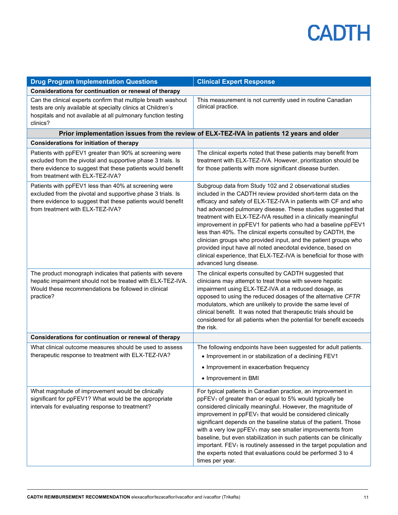| <b>Drug Program Implementation Questions</b>                                                                                                                                                                              | <b>Clinical Expert Response</b>                                                                                                                                                                                                                                                                                                                                                                                                                                                                                                                                                                                                                                                              |
|---------------------------------------------------------------------------------------------------------------------------------------------------------------------------------------------------------------------------|----------------------------------------------------------------------------------------------------------------------------------------------------------------------------------------------------------------------------------------------------------------------------------------------------------------------------------------------------------------------------------------------------------------------------------------------------------------------------------------------------------------------------------------------------------------------------------------------------------------------------------------------------------------------------------------------|
| Considerations for continuation or renewal of therapy                                                                                                                                                                     |                                                                                                                                                                                                                                                                                                                                                                                                                                                                                                                                                                                                                                                                                              |
| Can the clinical experts confirm that multiple breath washout<br>tests are only available at specialty clinics at Children's<br>hospitals and not available at all pulmonary function testing<br>clinics?                 | This measurement is not currently used in routine Canadian<br>clinical practice.                                                                                                                                                                                                                                                                                                                                                                                                                                                                                                                                                                                                             |
|                                                                                                                                                                                                                           | Prior implementation issues from the review of ELX-TEZ-IVA in patients 12 years and older                                                                                                                                                                                                                                                                                                                                                                                                                                                                                                                                                                                                    |
| <b>Considerations for initiation of therapy</b>                                                                                                                                                                           |                                                                                                                                                                                                                                                                                                                                                                                                                                                                                                                                                                                                                                                                                              |
| Patients with ppFEV1 greater than 90% at screening were<br>excluded from the pivotal and supportive phase 3 trials. Is<br>there evidence to suggest that these patients would benefit<br>from treatment with ELX-TEZ-IVA? | The clinical experts noted that these patients may benefit from<br>treatment with ELX-TEZ-IVA. However, prioritization should be<br>for those patients with more significant disease burden.                                                                                                                                                                                                                                                                                                                                                                                                                                                                                                 |
| Patients with ppFEV1 less than 40% at screening were<br>excluded from the pivotal and supportive phase 3 trials. Is<br>there evidence to suggest that these patients would benefit<br>from treatment with ELX-TEZ-IVA?    | Subgroup data from Study 102 and 2 observational studies<br>included in the CADTH review provided short-term data on the<br>efficacy and safety of ELX-TEZ-IVA in patients with CF and who<br>had advanced pulmonary disease. These studies suggested that<br>treatment with ELX-TEZ-IVA resulted in a clinically meaningful<br>improvement in ppFEV1 for patients who had a baseline ppFEV1<br>less than 40%. The clinical experts consulted by CADTH, the<br>clinician groups who provided input, and the patient groups who<br>provided input have all noted anecdotal evidence, based on<br>clinical experience, that ELX-TEZ-IVA is beneficial for those with<br>advanced lung disease. |
| The product monograph indicates that patients with severe<br>hepatic impairment should not be treated with ELX-TEZ-IVA.<br>Would these recommendations be followed in clinical<br>practice?                               | The clinical experts consulted by CADTH suggested that<br>clinicians may attempt to treat those with severe hepatic<br>impairment using ELX-TEZ-IVA at a reduced dosage, as<br>opposed to using the reduced dosages of the alternative CFTR<br>modulators, which are unlikely to provide the same level of<br>clinical benefit. It was noted that therapeutic trials should be<br>considered for all patients when the potential for benefit exceeds<br>the risk.                                                                                                                                                                                                                            |
| Considerations for continuation or renewal of therapy                                                                                                                                                                     |                                                                                                                                                                                                                                                                                                                                                                                                                                                                                                                                                                                                                                                                                              |
| What clinical outcome measures should be used to assess<br>therapeutic response to treatment with ELX-TEZ-IVA?                                                                                                            | The following endpoints have been suggested for adult patients.<br>• Improvement in or stabilization of a declining FEV1<br>• Improvement in exacerbation frequency<br>• Improvement in BMI                                                                                                                                                                                                                                                                                                                                                                                                                                                                                                  |
| What magnitude of improvement would be clinically<br>significant for ppFEV1? What would be the appropriate<br>intervals for evaluating response to treatment?                                                             | For typical patients in Canadian practice, an improvement in<br>ppFEV <sub>1</sub> of greater than or equal to 5% would typically be<br>considered clinically meaningful. However, the magnitude of<br>improvement in ppFEV <sub>1</sub> that would be considered clinically<br>significant depends on the baseline status of the patient. Those<br>with a very low ppFEV <sub>1</sub> may see smaller improvements from<br>baseline, but even stabilization in such patients can be clinically<br>important. FEV <sub>1</sub> is routinely assessed in the target population and<br>the experts noted that evaluations could be performed 3 to 4<br>times per year.                         |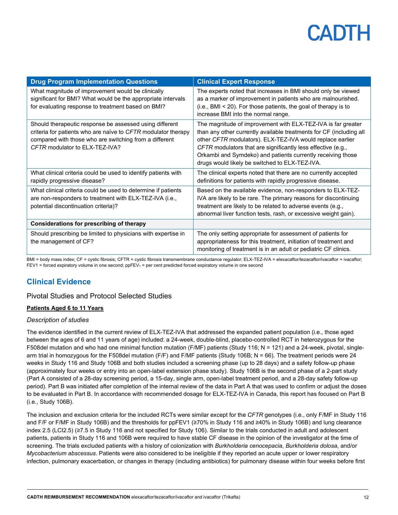| <b>Drug Program Implementation Questions</b>                                                                                                                                                                         | <b>Clinical Expert Response</b>                                                                                                                                                                                                                                                                                                                                                   |
|----------------------------------------------------------------------------------------------------------------------------------------------------------------------------------------------------------------------|-----------------------------------------------------------------------------------------------------------------------------------------------------------------------------------------------------------------------------------------------------------------------------------------------------------------------------------------------------------------------------------|
| What magnitude of improvement would be clinically<br>significant for BMI? What would be the appropriate intervals<br>for evaluating response to treatment based on BMI?                                              | The experts noted that increases in BMI should only be viewed<br>as a marker of improvement in patients who are malnourished.<br>(i.e., BMI < 20). For those patients, the goal of therapy is to<br>increase BMI into the normal range.                                                                                                                                           |
| Should therapeutic response be assessed using different<br>criteria for patients who are naïve to CFTR modulator therapy<br>compared with those who are switching from a different<br>CFTR modulator to ELX-TEZ-IVA? | The magnitude of improvement with ELX-TEZ-IVA is far greater<br>than any other currently available treatments for CF (including all<br>other CFTR modulators). ELX-TEZ-IVA would replace earlier<br>CFTR modulators that are significantly less effective (e.g.,<br>Orkambi and Symdeko) and patients currently receiving those<br>drugs would likely be switched to ELX-TEZ-IVA. |
| What clinical criteria could be used to identify patients with<br>rapidly progressive disease?                                                                                                                       | The clinical experts noted that there are no currently accepted<br>definitions for patients with rapidly progressive disease.                                                                                                                                                                                                                                                     |
| What clinical criteria could be used to determine if patients<br>are non-responders to treatment with ELX-TEZ-IVA (i.e.,<br>potential discontinuation criteria)?                                                     | Based on the available evidence, non-responders to ELX-TEZ-<br>IVA are likely to be rare. The primary reasons for discontinuing<br>treatment are likely to be related to adverse events (e.g.,<br>abnormal liver function tests, rash, or excessive weight gain).                                                                                                                 |
| <b>Considerations for prescribing of therapy</b>                                                                                                                                                                     |                                                                                                                                                                                                                                                                                                                                                                                   |
| Should prescribing be limited to physicians with expertise in<br>the management of CF?                                                                                                                               | The only setting appropriate for assessment of patients for<br>appropriateness for this treatment, initiation of treatment and<br>monitoring of treatment is in an adult or pediatric CF clinics.                                                                                                                                                                                 |

BMI = body mass index; CF = cystic fibrosis; CFTR = cystic fibrosis transmembrane conductance regulator; ELX-TEZ-IVA = elexacaftor/tezacaftor/ivacaftor + ivacaftor; FEV1 = forced expiratory volume in one second; ppFEV<sub>1</sub> = per cent predicted forced expiratory volume in one second

## **Clinical Evidence**

#### Pivotal Studies and Protocol Selected Studies

#### **Patients Aged 6 to 11 Years**

#### *Description of studies*

The evidence identified in the current review of ELX-TEZ-IVA that addressed the expanded patient population (i.e., those aged between the ages of 6 and 11 years of age) included: a 24-week, double-blind, placebo-controlled RCT in heterozygous for the F508del mutation and who had one minimal function mutation (F/MF) patients (Study 116; N = 121) and a 24-week, pivotal, singlearm trial in homozygous for the F508del mutation (F/F) and F/MF patients (Study 106B; N = 66). The treatment periods were 24 weeks in Study 116 and Study 106B and both studies included a screening phase (up to 28 days) and a safety follow-up phase (approximately four weeks or entry into an open-label extension phase study). Study 106B is the second phase of a 2-part study (Part A consisted of a 28-day screening period, a 15-day, single arm, open-label treatment period, and a 28-day safety follow-up period). Part B was initiated after completion of the internal review of the data in Part A that was used to confirm or adjust the doses to be evaluated in Part B. In accordance with recommended dosage for ELX-TEZ-IVA in Canada, this report has focused on Part B (i.e., Study 106B).

The inclusion and exclusion criteria for the included RCTs were similar except for the *CFTR* genotypes (i.e., only F/MF in Study 116 and F/F or F/MF in Study 106B) and the thresholds for ppFEV1 (≥70% in Study 116 and ≥40% in Study 106B) and lung clearance index 2.5 (LCI2.5) (≥7.5 in Study 116 and not specified for Study 106). Similar to the trials conducted in adult and adolescent patients, patients in Study 116 and 106B were required to have stable CF disease in the opinion of the investigator at the time of screening. The trials excluded patients with a history of colonization with *Burkholderia cenocepacia*, *Burkholderia dolosa*, and/or *Mycobacterium abscessus*. Patients were also considered to be ineligible if they reported an acute upper or lower respiratory infection, pulmonary exacerbation, or changes in therapy (including antibiotics) for pulmonary disease within four weeks before first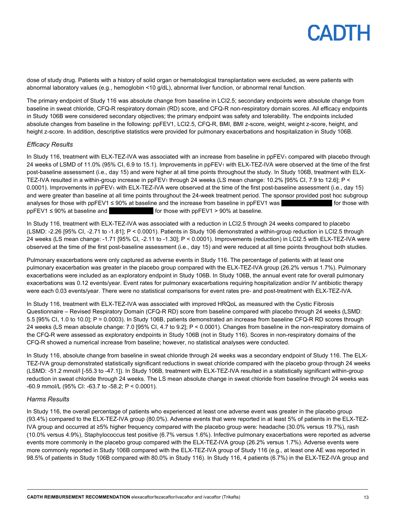dose of study drug. Patients with a history of solid organ or hematological transplantation were excluded, as were patients with abnormal laboratory values (e.g., hemoglobin <10 g/dL), abnormal liver function, or abnormal renal function.

The primary endpoint of Study 116 was absolute change from baseline in LCI2.5; secondary endpoints were absolute change from baseline in sweat chloride, CFQ-R respiratory domain (RD) score, and CFQ-R non-respiratory domain scores. All efficacy endpoints in Study 106B were considered secondary objectives; the primary endpoint was safety and tolerability. The endpoints included absolute changes from baseline in the following: ppFEV1, LCI2.5, CFQ-R, BMI, BMI z-score, weight, weight z-score, height, and height z-score. In addition, descriptive statistics were provided for pulmonary exacerbations and hospitalization in Study 106B.

#### *Efficacy Results*

In Study 116, treatment with ELX-TEZ-IVA was associated with an increase from baseline in ppFEV<sub>1</sub> compared with placebo through 24 weeks of LSMD of 11.0% (95% CI, 6.9 to 15.1). Improvements in ppFEV<sub>1</sub> with ELX-TEZ-IVA were observed at the time of the first post-baseline assessment (i.e., day 15) and were higher at all time points throughout the study. In Study 106B, treatment with ELX-TEZ-IVA resulted in a within-group increase in  $ppFEV<sub>1</sub>$  through 24 weeks (LS mean change: 10.2% [95% CI, 7.9 to 12.6]; P < 0.0001). Improvements in ppFEV<sub>1</sub> with ELX-TEZ-IVA were observed at the time of the first post-baseline assessment (i.e., day 15) and were greater than baseline at all time points throughout the 24-week treatment period. The sponsor provided post hoc subgroup analyses for those with ppFEV1  $\leq$  90% at baseline and the increase from baseline in ppFEV1 was  $\blacksquare$  for those with  $ppFEV1 \leq 90\%$  at baseline and  $q$  for those with  $ppFEV1 > 90\%$  at baseline.

In Study 116, treatment with ELX-TEZ-IVA was associated with a reduction in LCI2.5 through 24 weeks compared to placebo (LSMD: -2.26 [95% CI, -2.71 to -1.81]; P < 0.0001). Patients in Study 106 demonstrated a within-group reduction in LCI2.5 through 24 weeks (LS mean change: -1.71 [95% CI, -2.11 to -1.30]; P < 0.0001). Improvements (reduction) in LCI2.5 with ELX-TEZ-IVA were observed at the time of the first post-baseline assessment (i.e., day 15) and were reduced at all time points throughout both studies.

Pulmonary exacerbations were only captured as adverse events in Study 116. The percentage of patients with at least one pulmonary exacerbation was greater in the placebo group compared with the ELX-TEZ-IVA group (26.2% versus 1.7%). Pulmonary exacerbations were included as an exploratory endpoint in Study 106B. In Study 106B, the annual event rate for overall pulmonary exacerbations was 0.12 events/year. Event rates for pulmonary exacerbations requiring hospitalization and/or IV antibiotic therapy were each 0.03 events/year. There were no statistical comparisons for event rates pre- and post-treatment with ELX-TEZ-IVA.

In Study 116, treatment with ELX-TEZ-IVA was associated with improved HRQoL as measured with the Cystic Fibrosis Questionnaire – Revised Respiratory Domain (CFQ-R RD) score from baseline compared with placebo through 24 weeks (LSMD: 5.5 [95% CI, 1.0 to 10.0]; P = 0.0003). In Study 106B, patients demonstrated an increase from baseline CFQ-R RD scores through 24 weeks (LS mean absolute change: 7.0 [95% CI, 4.7 to 9.2]; P < 0.0001). Changes from baseline in the non-respiratory domains of the CFQ-R were assessed as exploratory endpoints in Study 106B (not in Study 116). Scores in non-respiratory domains of the CFQ-R showed a numerical increase from baseline; however, no statistical analyses were conducted.

In Study 116, absolute change from baseline in sweat chloride through 24 weeks was a secondary endpoint of Study 116. The ELX-TEZ-IVA group demonstrated statistically significant reductions in sweat chloride compared with the placebo group through 24 weeks (LSMD: -51.2 mmol/l [-55.3 to -47.1]). In Study 106B, treatment with ELX-TEZ-IVA resulted in a statistically significant within-group reduction in sweat chloride through 24 weeks. The LS mean absolute change in sweat chloride from baseline through 24 weeks was -60.9 mmol/L (95% CI: -63.7 to -58.2; P < 0.0001).

#### *Harms Results*

In Study 116, the overall percentage of patients who experienced at least one adverse event was greater in the placebo group (93.4%) compared to the ELX-TEZ-IVA group (80.0%). Adverse events that were reported in at least 5% of patients in the ELX-TEZ-IVA group and occurred at ≥5% higher frequency compared with the placebo group were: headache (30.0% versus 19.7%), rash (10.0% versus 4.9%), Staphylococcus test positive (6.7% versus 1.6%). Infective pulmonary exacerbations were reported as adverse events more commonly in the placebo group compared with the ELX-TEZ-IVA group (26.2% versus 1.7%). Adverse events were more commonly reported in Study 106B compared with the ELX-TEZ-IVA group of Study 116 (e.g., at least one AE was reported in 98.5% of patients in Study 106B compared with 80.0% in Study 116). In Study 116, 4 patients (6.7%) in the ELX-TEZ-IVA group and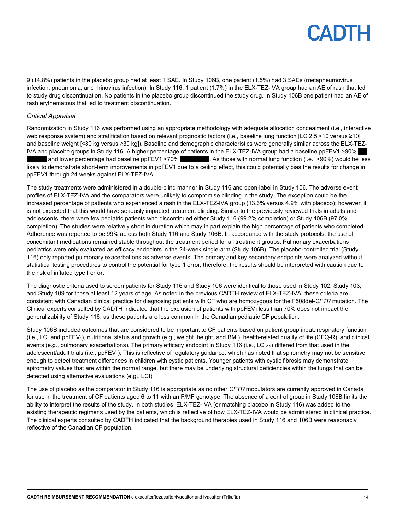9 (14.8%) patients in the placebo group had at least 1 SAE. In Study 106B, one patient (1.5%) had 3 SAEs (metapneumovirus infection, pneumonia, and rhinovirus infection). In Study 116, 1 patient (1.7%) in the ELX-TEZ-IVA group had an AE of rash that led to study drug discontinuation. No patients in the placebo group discontinued the study drug. In Study 106B one patient had an AE of rash erythematous that led to treatment discontinuation.

#### *Critical Appraisal*

Randomization in Study 116 was performed using an appropriate methodology with adequate allocation concealment (i.e., interactive web response system) and stratification based on relevant prognostic factors (i.e., baseline lung function [LCI2.5 <10 versus ≥10] and baseline weight [<30 kg versus ≥30 kg]). Baseline and demographic characteristics were generally similar across the ELX-TEZ-IVA and placebo groups in Study 116. A higher percentage of patients in the ELX-TEZ-IVA group had a baseline ppFEV1 >90% |||||| |||||| and lower percentage had baseline ppFEV1 <70% ||||| |||||| ||||||. As those with normal lung function (i.e., >90%) would be less likely to demonstrate short-term improvements in ppFEV1 due to a ceiling effect, this could potentially bias the results for change in ppFEV1 through 24 weeks against ELX-TEZ-IVA.

The study treatments were administered in a double-blind manner in Study 116 and open-label in Study 106. The adverse event profiles of ELX-TEZ-IVA and the comparators were unlikely to compromise blinding in the study. The exception could be the increased percentage of patients who experienced a rash in the ELX-TEZ-IVA group (13.3% versus 4.9% with placebo); however, it is not expected that this would have seriously impacted treatment blinding. Similar to the previously reviewed trials in adults and adolescents, there were few pediatric patients who discontinued either Study 116 (99.2% completion) or Study 106B (97.0% completion). The studies were relatively short in duration which may in part explain the high percentage of patients who completed. Adherence was reported to be 99% across both Study 116 and Study 106B. In accordance with the study protocols, the use of concomitant medications remained stable throughout the treatment period for all treatment groups. Pulmonary exacerbations pediatrics were only evaluated as efficacy endpoints in the 24-week single-arm (Study 106B). The placebo-controlled trial (Study 116) only reported pulmonary exacerbations as adverse events. The primary and key secondary endpoints were analyzed without statistical testing procedures to control the potential for type 1 error; therefore, the results should be interpreted with caution due to the risk of inflated type I error.

The diagnostic criteria used to screen patients for Study 116 and Study 106 were identical to those used in Study 102, Study 103, and Study 109 for those at least 12 years of age. As noted in the previous CADTH review of ELX-TEZ-IVA, these criteria are consistent with Canadian clinical practice for diagnosing patients with CF who are homozygous for the F508del-*CFTR* mutation. The Clinical experts consulted by CADTH indicated that the exclusion of patients with  $ppFEV<sub>1</sub>$  less than 70% does not impact the generalizability of Study 116, as these patients are less common in the Canadian pediatric CF population.

Study 106B included outcomes that are considered to be important to CF patients based on patient group input: respiratory function (i.e., LCI and ppFEV1), nutritional status and growth (e.g., weight, height, and BMI), health-related quality of life (CFQ-R), and clinical events (e.g., pulmonary exacerbations). The primary efficacy endpoint in Study 116 (i.e., LCI<sub>2.5</sub>) differed from that used in the adolescent/adult trials (i.e., ppFEV<sub>1</sub>). This is reflective of regulatory guidance, which has noted that spirometry may not be sensitive enough to detect treatment differences in children with cystic patients. Younger patients with cystic fibrosis may demonstrate spirometry values that are within the normal range, but there may be underlying structural deficiencies within the lungs that can be detected using alternative evaluations (e.g., LCI).

The use of placebo as the comparator in Study 116 is appropriate as no other *CFTR* modulators are currently approved in Canada for use in the treatment of CF patients aged 6 to 11 with an F/MF genotype. The absence of a control group in Study 106B limits the ability to interpret the results of the study. In both studies, ELX-TEZ-IVA (or matching placebo in Study 116) was added to the existing therapeutic regimens used by the patients, which is reflective of how ELX-TEZ-IVA would be administered in clinical practice. The clinical experts consulted by CADTH indicated that the background therapies used in Study 116 and 106B were reasonably reflective of the Canadian CF population.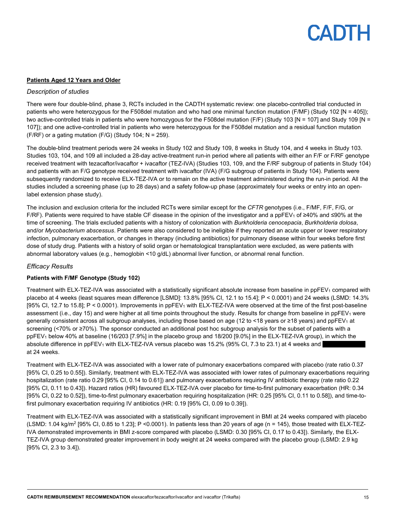#### **Patients Aged 12 Years and Older**

#### *Description of studies*

There were four double-blind, phase 3, RCTs included in the CADTH systematic review: one placebo-controlled trial conducted in patients who were heterozygous for the F508del mutation and who had one minimal function mutation (F/MF) (Study 102 [N = 405]); two active-controlled trials in patients who were homozygous for the F508del mutation (F/F) (Study 103 [N = 107] and Study 109 [N = 107]); and one active-controlled trial in patients who were heterozygous for the F508del mutation and a residual function mutation  $(F/RF)$  or a gating mutation  $(F/G)$  (Study 104; N = 259).

The double-blind treatment periods were 24 weeks in Study 102 and Study 109, 8 weeks in Study 104, and 4 weeks in Study 103. Studies 103, 104, and 109 all included a 28-day active-treatment run-in period where all patients with either an F/F or F/RF genotype received treatment with tezacaftor/ivacaftor + ivacaftor (TEZ-IVA) (Studies 103, 109, and the F/RF subgroup of patients in Study 104) and patients with an F/G genotype received treatment with ivacaftor (IVA) (F/G subgroup of patients in Study 104). Patients were subsequently randomized to receive ELX-TEZ-IVA or to remain on the active treatment administered during the run-in period. All the studies included a screening phase (up to 28 days) and a safety follow-up phase (approximately four weeks or entry into an openlabel extension phase study).

The inclusion and exclusion criteria for the included RCTs were similar except for the *CFTR* genotypes (i.e., F/MF, F/F, F/G, or F/RF). Patients were required to have stable CF disease in the opinion of the investigator and a ppFEV<sub>1</sub> of ≥40% and ≤90% at the time of screening. The trials excluded patients with a history of colonization with *Burkholderia cenocepacia*, *Burkholderia dolosa*, and/or *Mycobacterium abscessus*. Patients were also considered to be ineligible if they reported an acute upper or lower respiratory infection, pulmonary exacerbation, or changes in therapy (including antibiotics) for pulmonary disease within four weeks before first dose of study drug. Patients with a history of solid organ or hematological transplantation were excluded, as were patients with abnormal laboratory values (e.g., hemoglobin <10 g/dL) abnormal liver function, or abnormal renal function.

#### *Efficacy Results*

#### **Patients with F/MF Genotype (Study 102)**

Treatment with ELX-TEZ-IVA was associated with a statistically significant absolute increase from baseline in ppFEV<sub>1</sub> compared with placebo at 4 weeks (least squares mean difference [LSMD]: 13.8% [95% CI, 12.1 to 15.4]; P < 0.0001) and 24 weeks (LSMD: 14.3% [95% CI, 12.7 to 15.8];  $P < 0.0001$ ). Improvements in ppFEV<sub>1</sub> with ELX-TEZ-IVA were observed at the time of the first post-baseline assessment (i.e., day 15) and were higher at all time points throughout the study. Results for change from baseline in ppFEV<sub>1</sub> were generally consistent across all subgroup analyses, including those based on age (12 to <18 years or ≥18 years) and ppFEV<sup>1</sup> at screening (<70% or ≥70%). The sponsor conducted an additional post hoc subgroup analysis for the subset of patients with a ppFEV1 below 40% at baseline (16/203 [7.9%] in the placebo group and 18/200 [9.0%] in the ELX-TEZ-IVA group), in which the absolute difference in  $ppFEV_1$  with  $ELX-TEZ-IVA$  versus placebo was 15.2% (95% CI, 7.3 to 23.1) at 4 weeks and at 24 weeks.

Treatment with ELX-TEZ-IVA was associated with a lower rate of pulmonary exacerbations compared with placebo (rate ratio 0.37 [95% CI, 0.25 to 0.55]). Similarly, treatment with ELX-TEZ-IVA was associated with lower rates of pulmonary exacerbations requiring hospitalization (rate ratio 0.29 [95% CI, 0.14 to 0.61]) and pulmonary exacerbations requiring IV antibiotic therapy (rate ratio 0.22 [95% CI, 0.11 to 0.43]). Hazard ratios (HR) favoured ELX-TEZ-IVA over placebo for time-to-first pulmonary exacerbation (HR: 0.34 [95% CI, 0.22 to 0.52]), time-to-first pulmonary exacerbation requiring hospitalization (HR: 0.25 [95% CI, 0.11 to 0.58]), and time-tofirst pulmonary exacerbation requiring IV antibiotics (HR: 0.19 [95% CI, 0.09 to 0.39]).

Treatment with ELX-TEZ-IVA was associated with a statistically significant improvement in BMI at 24 weeks compared with placebo (LSMD:  $1.04$  kg/m<sup>2</sup> [95% CI, 0.85 to 1.23]; P <0.0001). In patients less than 20 years of age (n = 145), those treated with ELX-TEZ-IVA demonstrated improvements in BMI z-score compared with placebo (LSMD: 0.30 [95% CI, 0.17 to 0.43]). Similarly, the ELX-TEZ-IVA group demonstrated greater improvement in body weight at 24 weeks compared with the placebo group (LSMD: 2.9 kg [95% CI, 2.3 to 3.4]).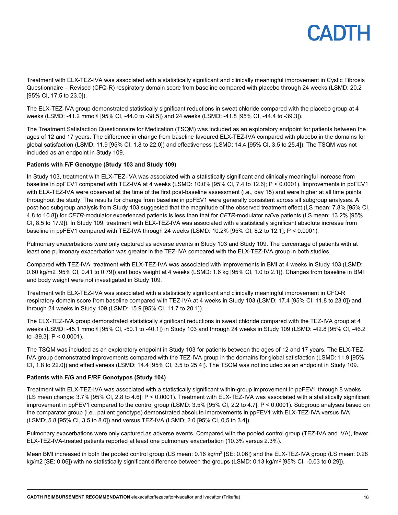Treatment with ELX-TEZ-IVA was associated with a statistically significant and clinically meaningful improvement in Cystic Fibrosis Questionnaire – Revised (CFQ-R) respiratory domain score from baseline compared with placebo through 24 weeks (LSMD: 20.2 [95% CI, 17.5 to 23.0]).

The ELX-TEZ-IVA group demonstrated statistically significant reductions in sweat chloride compared with the placebo group at 4 weeks (LSMD: -41.2 mmol/l [95% CI, -44.0 to -38.5]) and 24 weeks (LSMD: -41.8 [95% CI, -44.4 to -39.3]).

The Treatment Satisfaction Questionnaire for Medication (TSQM) was included as an exploratory endpoint for patients between the ages of 12 and 17 years. The difference in change from baseline favoured ELX-TEZ-IVA compared with placebo in the domains for global satisfaction (LSMD: 11.9 [95% CI, 1.8 to 22.0]) and effectiveness (LSMD: 14.4 [95% CI, 3.5 to 25.4]). The TSQM was not included as an endpoint in Study 109.

#### **Patients with F/F Genotype (Study 103 and Study 109)**

In Study 103, treatment with ELX-TEZ-IVA was associated with a statistically significant and clinically meaningful increase from baseline in ppFEV1 compared with TEZ-IVA at 4 weeks (LSMD: 10.0% [95% CI, 7.4 to 12.6]; P < 0.0001). Improvements in ppFEV1 with ELX-TEZ-IVA were observed at the time of the first post-baseline assessment (i.e., day 15) and were higher at all time points throughout the study. The results for change from baseline in ppFEV1 were generally consistent across all subgroup analyses. A post-hoc subgroup analysis from Study 103 suggested that the magnitude of the observed treatment effect (LS mean: 7.8% [95% CI, 4.8 to 10.8]) for *CFTR*-modulator experienced patients is less than that for *CFTR*-modulator naïve patients (LS mean: 13.2% [95% CI, 8.5 to 17.9]). In Study 109, treatment with ELX-TEZ-IVA was associated with a statistically significant absolute increase from baseline in ppFEV1 compared with TEZ-IVA through 24 weeks (LSMD: 10.2% [95% CI, 8.2 to 12.1]; P < 0.0001).

Pulmonary exacerbations were only captured as adverse events in Study 103 and Study 109. The percentage of patients with at least one pulmonary exacerbation was greater in the TEZ-IVA compared with the ELX-TEZ-IVA group in both studies.

Compared with TEZ-IVA, treatment with ELX-TEZ-IVA was associated with improvements in BMI at 4 weeks in Study 103 (LSMD: 0.60 kg/m2 [95% CI, 0.41 to 0.79]) and body weight at 4 weeks (LSMD: 1.6 kg [95% CI, 1.0 to 2.1]). Changes from baseline in BMI and body weight were not investigated in Study 109.

Treatment with ELX-TEZ-IVA was associated with a statistically significant and clinically meaningful improvement in CFQ-R respiratory domain score from baseline compared with TEZ-IVA at 4 weeks in Study 103 (LSMD: 17.4 [95% CI, 11.8 to 23.0]) and through 24 weeks in Study 109 (LSMD: 15.9 [95% CI, 11.7 to 20.1]).

The ELX-TEZ-IVA group demonstrated statistically significant reductions in sweat chloride compared with the TEZ-IVA group at 4 weeks (LSMD: -45.1 mmol/l [95% CI, -50.1 to -40.1]) in Study 103 and through 24 weeks in Study 109 (LSMD: -42.8 [95% CI, -46.2 to  $-39.3$ ]; P < 0.0001).

The TSQM was included as an exploratory endpoint in Study 103 for patients between the ages of 12 and 17 years. The ELX-TEZ-IVA group demonstrated improvements compared with the TEZ-IVA group in the domains for global satisfaction (LSMD: 11.9 [95% CI, 1.8 to 22.0]) and effectiveness (LSMD: 14.4 [95% CI, 3.5 to 25.4]). The TSQM was not included as an endpoint in Study 109.

#### **Patients with F/G and F/RF Genotypes (Study 104)**

Treatment with ELX-TEZ-IVA was associated with a statistically significant within-group improvement in ppFEV1 through 8 weeks (LS mean change: 3.7% [95% CI, 2.8 to 4.6]; P < 0.0001). Treatment with ELX-TEZ-IVA was associated with a statistically significant improvement in ppFEV1 compared to the control group (LSMD: 3.5% [95% CI, 2.2 to 4.7]; P < 0.0001). Subgroup analyses based on the comparator group (i.e., patient genotype) demonstrated absolute improvements in ppFEV1 with ELX-TEZ-IVA versus IVA (LSMD: 5.8 [95% CI, 3.5 to 8.0]) and versus TEZ-IVA (LSMD: 2.0 [95% CI, 0.5 to 3.4]).

Pulmonary exacerbations were only captured as adverse events. Compared with the pooled control group (TEZ-IVA and IVA), fewer ELX-TEZ-IVA-treated patients reported at least one pulmonary exacerbation (10.3% versus 2.3%).

Mean BMI increased in both the pooled control group (LS mean: 0.16 kg/m<sup>2</sup> [SE: 0.06]) and the ELX-TEZ-IVA group (LS mean: 0.28 kg/m2 [SE: 0.06]) with no statistically significant difference between the groups (LSMD: 0.13 kg/m<sup>2</sup> [95% CI, -0.03 to 0.29]).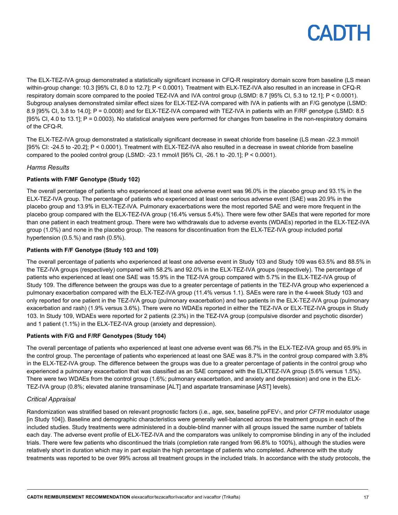The ELX-TEZ-IVA group demonstrated a statistically significant increase in CFQ-R respiratory domain score from baseline (LS mean within-group change: 10.3 [95% CI, 8.0 to 12.7]; P < 0.0001). Treatment with ELX-TEZ-IVA also resulted in an increase in CFQ-R respiratory domain score compared to the pooled TEZ-IVA and IVA control group (LSMD: 8.7 [95% CI, 5.3 to 12.1]; P < 0.0001). Subgroup analyses demonstrated similar effect sizes for ELX-TEZ-IVA compared with IVA in patients with an F/G genotype (LSMD: 8.9 [95% CI, 3.8 to 14.0]; P = 0.0008) and for ELX-TEZ-IVA compared with TEZ-IVA in patients with an F/RF genotype (LSMD: 8.5 [95% CI, 4.0 to 13.1]; P = 0.0003). No statistical analyses were performed for changes from baseline in the non-respiratory domains of the CFQ-R.

The ELX-TEZ-IVA group demonstrated a statistically significant decrease in sweat chloride from baseline (LS mean -22.3 mmol/l [95% CI: -24.5 to -20.2]; P < 0.0001). Treatment with ELX-TEZ-IVA also resulted in a decrease in sweat chloride from baseline compared to the pooled control group (LSMD: -23.1 mmol/l  $[95\%$  CI, -26.1 to -20.1]; P < 0.0001).

#### *Harms Results*

#### **Patients with F/MF Genotype (Study 102)**

The overall percentage of patients who experienced at least one adverse event was 96.0% in the placebo group and 93.1% in the ELX-TEZ-IVA group. The percentage of patients who experienced at least one serious adverse event (SAE) was 20.9% in the placebo group and 13.9% in ELX-TEZ-IVA. Pulmonary exacerbations were the most reported SAE and were more frequent in the placebo group compared with the ELX-TEZ-IVA group (16.4% versus 5.4%). There were few other SAEs that were reported for more than one patient in each treatment group. There were two withdrawals due to adverse events (WDAEs) reported in the ELX-TEZ-IVA group (1.0%) and none in the placebo group. The reasons for discontinuation from the ELX-TEZ-IVA group included portal hypertension (0.5.%) and rash (0.5%).

#### **Patients with F/F Genotype (Study 103 and 109)**

The overall percentage of patients who experienced at least one adverse event in Study 103 and Study 109 was 63.5% and 88.5% in the TEZ-IVA groups (respectively) compared with 58.2% and 92.0% in the ELX-TEZ-IVA groups (respectively). The percentage of patients who experienced at least one SAE was 15.9% in the TEZ-IVA group compared with 5.7% in the ELX-TEZ-IVA group of Study 109. The difference between the groups was due to a greater percentage of patients in the TEZ-IVA group who experienced a pulmonary exacerbation compared with the ELX-TEZ-IVA group (11.4% versus 1.1). SAEs were rare in the 4-week Study 103 and only reported for one patient in the TEZ-IVA group (pulmonary exacerbation) and two patients in the ELX-TEZ-IVA group (pulmonary exacerbation and rash) (1.9% versus 3.6%). There were no WDAEs reported in either the TEZ-IVA or ELX-TEZ-IVA groups in Study 103. In Study 109, WDAEs were reported for 2 patients (2.3%) in the TEZ-IVA group (compulsive disorder and psychotic disorder) and 1 patient (1.1%) in the ELX-TEZ-IVA group (anxiety and depression).

#### **Patients with F/G and F/RF Genotypes (Study 104)**

The overall percentage of patients who experienced at least one adverse event was 66.7% in the ELX-TEZ-IVA group and 65.9% in the control group. The percentage of patients who experienced at least one SAE was 8.7% in the control group compared with 3.8% in the ELX-TEZ-IVA group. The difference between the groups was due to a greater percentage of patients in the control group who experienced a pulmonary exacerbation that was classified as an SAE compared with the ELXTEZ-IVA group (5.6% versus 1.5%). There were two WDAEs from the control group (1.6%; pulmonary exacerbation, and anxiety and depression) and one in the ELX-TEZ-IVA group (0.8%; elevated alanine transaminase [ALT] and aspartate transaminase [AST] levels).

#### *Critical Appraisal*

Randomization was stratified based on relevant prognostic factors (i.e., age, sex, baseline ppFEV<sub>1</sub>, and prior *CFTR* modulator usage [in Study 104]). Baseline and demographic characteristics were generally well-balanced across the treatment groups in each of the included studies. Study treatments were administered in a double-blind manner with all groups issued the same number of tablets each day. The adverse event profile of ELX-TEZ-IVA and the comparators was unlikely to compromise blinding in any of the included trials. There were few patients who discontinued the trials (completion rate ranged from 96.8% to 100%), although the studies were relatively short in duration which may in part explain the high percentage of patients who completed. Adherence with the study treatments was reported to be over 99% across all treatment groups in the included trials. In accordance with the study protocols, the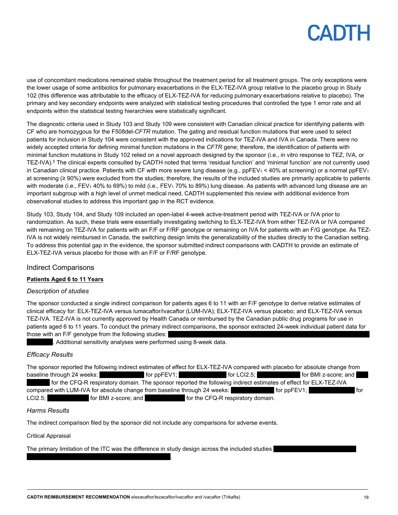# PADTH

use of concomitant medications remained stable throughout the treatment period for all treatment groups. The only exceptions were the lower usage of some antibiotics for pulmonary exacerbations in the ELX-TEZ-IVA group relative to the placebo group in Study 102 (this difference was attributable to the efficacy of ELX-TEZ-IVA for reducing pulmonary exacerbations relative to placebo). The primary and key secondary endpoints were analyzed with statistical testing procedures that controlled the type 1 error rate and all endpoints within the statistical testing hierarchies were statistically significant.

The diagnostic criteria used in Study 103 and Study 109 were consistent with Canadian clinical practice for identifying patients with CF who are homozygous for the F508del-*CFTR* mutation. The gating and residual function mutations that were used to select patients for inclusion in Study 104 were consistent with the approved indications for TEZ-IVA and IVA in Canada. There were no widely accepted criteria for defining minimal function mutations in the *CFTR* gene; therefore, the identification of patients with minimal function mutations in Study 102 relied on a novel approach designed by the sponsor (i.e., in vitro response to TEZ, IVA, or TEZ-IVA).<sup>5</sup> The clinical experts consulted by CADTH noted that terms 'residual function' and 'minimal function' are not currently used in Canadian clinical practice. Patients with CF with more severe lung disease (e.g.,  $ppFEV<sub>1</sub> < 40%$  at screening) or a normal  $ppFEV<sub>1</sub>$ at screening (≥ 90%) were excluded from the studies; therefore, the results of the included studies are primarily applicable to patients with moderate (i.e., FEV<sub>1</sub> 40% to 69%) to mild (i.e., FEV<sub>1</sub> 70% to 89%) lung disease. As patients with advanced lung disease are an important subgroup with a high level of unmet medical need, CADTH supplemented this review with additional evidence from observational studies to address this important gap in the RCT evidence.

Study 103, Study 104, and Study 109 included an open-label 4-week active-treatment period with TEZ-IVA or IVA prior to randomization. As such, these trials were essentially investigating switching to ELX-TEZ-IVA from either TEZ-IVA or IVA compared with remaining on TEZ-IVA for patients with an F/F or F/RF genotype or remaining on IVA for patients with an F/G genotype. As TEZ-IVA is not widely reimbursed in Canada, the switching design limits the generalizability of the studies directly to the Canadian setting. To address this potential gap in the evidence, the sponsor submitted indirect comparisons with CADTH to provide an estimate of ELX-TEZ-IVA versus placebo for those with an F/F or F/RF genotype.

#### Indirect Comparisons

#### **Patients Aged 6 to 11 Years**

#### *Description of studies*

The sponsor conducted a single indirect comparison for patients ages 6 to 11 with an F/F genotype to derive relative estimates of clinical efficacy for: ELX-TEZ-IVA versus lumacaftor/ivacaftor (LUM-IVA); ELX-TEZ-IVA versus placebo; and ELX-TEZ-IVA versus TEZ-IVA. TEZ-IVA is not currently approved by Health Canada or reimbursed by the Canadian public drug programs for use in patients aged 6 to 11 years. To conduct the primary indirect comparisons, the sponsor extracted 24-week individual patient data for those with an F/F genotype from the following studies:

. Additional sensitivity analyses were performed using 8-week data.

#### *Efficacy Results*

The sponsor reported the following indirect estimates of effect for ELX-TEZ-IVA compared with placebo for absolute change from baseline through 24 weeks:  $|$  for ppFEV1;  $|$  for LCI2.5;  $|$  for BMI z-score; and  $|$ ||| ||| || |||| for the CFQ-R respiratory domain. The sponsor reported the following indirect estimates of effect for ELX-TEZ-IVA compared with LUM-IVA for absolute change from baseline through 24 weeks: **For all analytic in the set of the set of** tor LCI2.5; end all the CFQ-R respiratory domain.

#### *Harms Results*

The indirect comparison filed by the sponsor did not include any comparisons for adverse events.

### Critical Appraisal

The primary limitation of the ITC was the difference in study design across the included studies

 $\| \cdot \|_{\infty}$  ) and the contract of the contract of the contract of the contract of the contract of the contract of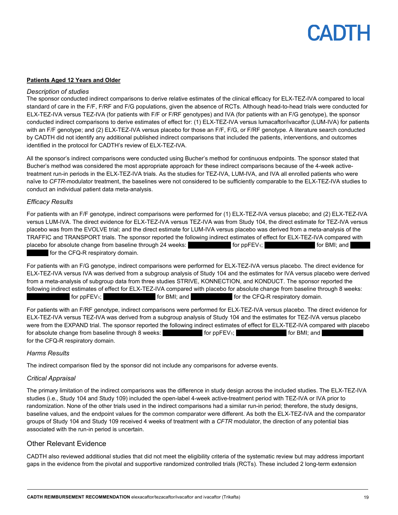#### **Patients Aged 12 Years and Older**

#### *Description of studies*

The sponsor conducted indirect comparisons to derive relative estimates of the clinical efficacy for ELX-TEZ-IVA compared to local standard of care in the F/F, F/RF and F/G populations, given the absence of RCTs. Although head-to-head trials were conducted for ELX-TEZ-IVA versus TEZ-IVA (for patients with F/F or F/RF genotypes) and IVA (for patients with an F/G genotype), the sponsor conducted indirect comparisons to derive estimates of effect for: (1) ELX-TEZ-IVA versus lumacaftor/ivacaftor (LUM-IVA) for patients with an F/F genotype; and (2) ELX-TEZ-IVA versus placebo for those an F/F, F/G, or F/RF genotype. A literature search conducted by CADTH did not identify any additional published indirect comparisons that included the patients, interventions, and outcomes identified in the protocol for CADTH's review of ELX-TEZ-IVA.

All the sponsor's indirect comparisons were conducted using Bucher's method for continuous endpoints. The sponsor stated that Bucher's method was considered the most appropriate approach for these indirect comparisons because of the 4-week activetreatment run-in periods in the ELX-TEZ-IVA trials. As the studies for TEZ-IVA, LUM-IVA, and IVA all enrolled patients who were naïve to *CFTR*-modulator treatment, the baselines were not considered to be sufficiently comparable to the ELX-TEZ-IVA studies to conduct an individual patient data meta-analysis.

#### *Efficacy Results*

For patients with an F/F genotype, indirect comparisons were performed for (1) ELX-TEZ-IVA versus placebo; and (2) ELX-TEZ-IVA versus LUM-IVA. The direct evidence for ELX-TEZ-IVA versus TEZ-IVA was from Study 104, the direct estimate for TEZ-IVA versus placebo was from the EVOLVE trial; and the direct estimate for LUM-IVA versus placebo was derived from a meta-analysis of the TRAFFIC and TRANSPORT trials. The sponsor reported the following indirect estimates of effect for ELX-TEZ-IVA compared with placebo for absolute change from baseline through 24 weeks:  $\blacksquare$  for ppFEV<sub>1</sub>; for ppFEV<sub>1</sub>; for BMI; and for the CFQ-R respiratory domain.

For patients with an F/G genotype, indirect comparisons were performed for ELX-TEZ-IVA versus placebo. The direct evidence for ELX-TEZ-IVA versus IVA was derived from a subgroup analysis of Study 104 and the estimates for IVA versus placebo were derived from a meta-analysis of subgroup data from three studies STRIVE, KONNECTION, and KONDUCT. The sponsor reported the following indirect estimates of effect for ELX-TEZ-IVA compared with placebo for absolute change from baseline through 8 weeks: for ppFEV<sub>1</sub>; https://limitation.com/integratory/integratory.com/integratory/integratory/integratory/integratory/integratory/integratory/integratory/integratory/integratory/integratory/integratory/integratory/integratory/i

For patients with an F/RF genotype, indirect comparisons were performed for ELX-TEZ-IVA versus placebo. The direct evidence for ELX-TEZ-IVA versus TEZ-IVA was derived from a subgroup analysis of Study 104 and the estimates for TEZ-IVA versus placebo were from the EXPAND trial. The sponsor reported the following indirect estimates of effect for ELX-TEZ-IVA compared with placebo for absolute change from baseline through 8 weeks:  $\blacksquare$  for ppFEV<sub>1</sub>;  $\blacksquare$  for BMI; and for the CFQ-R respiratory domain.

#### *Harms Results*

The indirect comparison filed by the sponsor did not include any comparisons for adverse events.

#### *Critical Appraisal*

The primary limitation of the indirect comparisons was the difference in study design across the included studies. The ELX-TEZ-IVA studies (i.e., Study 104 and Study 109) included the open-label 4-week active-treatment period with TEZ-IVA or IVA prior to randomization. None of the other trials used in the indirect comparisons had a similar run-in period; therefore, the study designs, baseline values, and the endpoint values for the common comparator were different. As both the ELX-TEZ-IVA and the comparator groups of Study 104 and Study 109 received 4 weeks of treatment with a *CFTR* modulator, the direction of any potential bias associated with the run-in period is uncertain.

#### Other Relevant Evidence

CADTH also reviewed additional studies that did not meet the eligibility criteria of the systematic review but may address important gaps in the evidence from the pivotal and supportive randomized controlled trials (RCTs). These included 2 long-term extension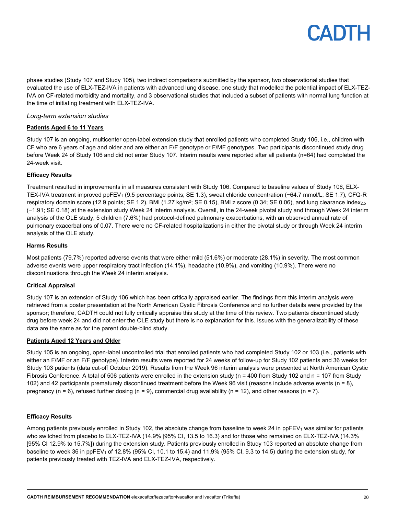phase studies (Study 107 and Study 105), two indirect comparisons submitted by the sponsor, two observational studies that evaluated the use of ELX-TEZ-IVA in patients with advanced lung disease, one study that modelled the potential impact of ELX-TEZ-IVA on CF-related morbidity and mortality, and 3 observational studies that included a subset of patients with normal lung function at the time of initiating treatment with ELX-TEZ-IVA.

#### *Long-term extension studies*

#### **Patients Aged 6 to 11 Years**

Study 107 is an ongoing, multicenter open-label extension study that enrolled patients who completed Study 106, i.e., children with CF who are 6 years of age and older and are either an F/F genotype or F/MF genotypes. Two participants discontinued study drug before Week 24 of Study 106 and did not enter Study 107. Interim results were reported after all patients (n=64) had completed the 24-week visit.

#### **Efficacy Results**

Treatment resulted in improvements in all measures consistent with Study 106. Compared to baseline values of Study 106, ELX-TEX-IVA treatment improved ppFEV<sub>1</sub> (9.5 percentage points; SE 1.3), sweat chloride concentration (−64.7 mmol/L; SE 1.7), CFQ-R respiratory domain score (12.9 points; SE 1.2), BMI (1.27 kg/m<sup>2</sup>; SE 0.15), BMI z score (0.34; SE 0.06), and lung clearance index<sub>2.5</sub> (−1.91; SE 0.18) at the extension study Week 24 interim analysis. Overall, in the 24-week pivotal study and through Week 24 interim analysis of the OLE study, 5 children (7.6%) had protocol-defined pulmonary exacerbations, with an observed annual rate of pulmonary exacerbations of 0.07. There were no CF-related hospitalizations in either the pivotal study or through Week 24 interim analysis of the OLE study.

#### **Harms Results**

Most patients (79.7%) reported adverse events that were either mild (51.6%) or moderate (28.1%) in severity. The most common adverse events were upper respiratory tract infection (14.1%), headache (10.9%), and vomiting (10.9%). There were no discontinuations through the Week 24 interim analysis.

#### **Critical Appraisal**

Study 107 is an extension of Study 106 which has been critically appraised earlier. The findings from this interim analysis were retrieved from a poster presentation at the North American Cystic Fibrosis Conference and no further details were provided by the sponsor; therefore, CADTH could not fully critically appraise this study at the time of this review. Two patients discontinued study drug before week 24 and did not enter the OLE study but there is no explanation for this. Issues with the generalizability of these data are the same as for the parent double-blind study.

#### **Patients Aged 12 Years and Older**

Study 105 is an ongoing, open-label uncontrolled trial that enrolled patients who had completed Study 102 or 103 (i.e., patients with either an F/MF or an F/F genotype). Interim results were reported for 24 weeks of follow-up for Study 102 patients and 36 weeks for Study 103 patients (data cut-off October 2019). Results from the Week 96 interim analysis were presented at North American Cystic Fibrosis Conference. A total of 506 patients were enrolled in the extension study (n = 400 from Study 102 and n = 107 from Study 102) and 42 participants prematurely discontinued treatment before the Week 96 visit (reasons include adverse events (n = 8), pregnancy (n = 6), refused further dosing (n = 9), commercial drug availability (n = 12), and other reasons (n = 7).

#### **Efficacy Results**

Among patients previously enrolled in Study 102, the absolute change from baseline to week 24 in ppFEV<sub>1</sub> was similar for patients who switched from placebo to ELX-TEZ-IVA (14.9% [95% CI, 13.5 to 16.3) and for those who remained on ELX-TEZ-IVA (14.3% [95% CI 12.9% to 15.7%]) during the extension study. Patients previously enrolled in Study 103 reported an absolute change from baseline to week 36 in ppFEV<sub>1</sub> of 12.8% (95% CI, 10.1 to 15.4) and 11.9% (95% CI, 9.3 to 14.5) during the extension study, for patients previously treated with TEZ-IVA and ELX-TEZ-IVA, respectively.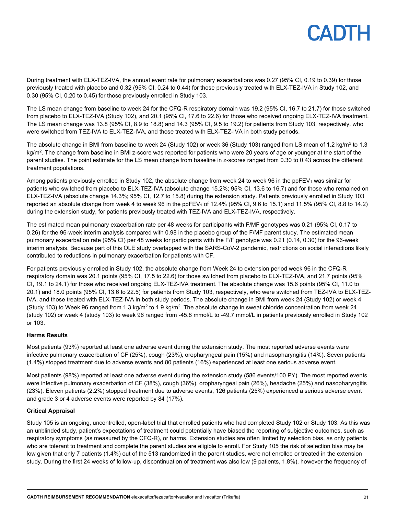During treatment with ELX-TEZ-IVA, the annual event rate for pulmonary exacerbations was 0.27 (95% CI, 0.19 to 0.39) for those previously treated with placebo and 0.32 (95% CI, 0.24 to 0.44) for those previously treated with ELX-TEZ-IVA in Study 102, and 0.30 (95% CI, 0.20 to 0.45) for those previously enrolled in Study 103.

The LS mean change from baseline to week 24 for the CFQ-R respiratory domain was 19.2 (95% CI, 16.7 to 21.7) for those switched from placebo to ELX-TEZ-IVA (Study 102), and 20.1 (95% CI, 17.6 to 22.6) for those who received ongoing ELX-TEZ-IVA treatment. The LS mean change was 13.8 (95% CI, 8.9 to 18.8) and 14.3 (95% CI, 9.5 to 19.2) for patients from Study 103, respectively, who were switched from TEZ-IVA to ELX-TEZ-IVA, and those treated with ELX-TEZ-IVA in both study periods.

The absolute change in BMI from baseline to week 24 (Study 102) or week 36 (Study 103) ranged from LS mean of 1.2 kg/m<sup>2</sup> to 1.3 kg/m<sup>2</sup>. The change from baseline in BMI z-score was reported for patients who were 20 years of age or younger at the start of the parent studies. The point estimate for the LS mean change from baseline in z-scores ranged from 0.30 to 0.43 across the different treatment populations.

Among patients previously enrolled in Study 102, the absolute change from week 24 to week 96 in the ppFEV<sub>1</sub> was similar for patients who switched from placebo to ELX-TEZ-IVA (absolute change 15.2%; 95% CI, 13.6 to 16.7) and for those who remained on ELX-TEZ-IVA (absolute change 14.3%; 95% CI, 12.7 to 15.8) during the extension study. Patients previously enrolled in Study 103 reported an absolute change from week 4 to week 96 in the ppFEV<sub>1</sub> of 12.4% (95% CI, 9.6 to 15.1) and 11.5% (95% CI, 8.8 to 14.2) during the extension study, for patients previously treated with TEZ-IVA and ELX-TEZ-IVA, respectively.

The estimated mean pulmonary exacerbation rate per 48 weeks for participants with F/MF genotypes was 0.21 (95% CI, 0.17 to 0.26) for the 96-week interim analysis compared with 0.98 in the placebo group of the F/MF parent study. The estimated mean pulmonary exacerbation rate (95% CI) per 48 weeks for participants with the F/F genotype was 0.21 (0.14, 0.30) for the 96-week interim analysis. Because part of this OLE study overlapped with the SARS-CoV-2 pandemic, restrictions on social interactions likely contributed to reductions in pulmonary exacerbation for patients with CF.

For patients previously enrolled in Study 102, the absolute change from Week 24 to extension period week 96 in the CFQ-R respiratory domain was 20.1 points (95% CI, 17.5 to 22.6) for those switched from placebo to ELX-TEZ-IVA, and 21.7 points (95% CI, 19.1 to 24.1) for those who received ongoing ELX-TEZ-IVA treatment. The absolute change was 15.6 points (95% CI, 11.0 to 20.1) and 18.0 points (95% CI, 13.6 to 22.5) for patients from Study 103, respectively, who were switched from TEZ-IVA to ELX-TEZ-IVA, and those treated with ELX-TEZ-IVA in both study periods. The absolute change in BMI from week 24 (Study 102) or week 4 (Study 103) to Week 96 ranged from 1.3 kg/m<sup>2</sup> to 1.9 kg/m<sup>2</sup>. The absolute change in sweat chloride concentration from week 24 (study 102) or week 4 (study 103) to week 96 ranged from -45.8 mmol/L to -49.7 mmol/L in patients previously enrolled in Study 102 or 103.

#### **Harms Results**

Most patients (93%) reported at least one adverse event during the extension study. The most reported adverse events were infective pulmonary exacerbation of CF (25%), cough (23%), oropharyngeal pain (15%) and nasopharyngitis (14%). Seven patients (1.4%) stopped treatment due to adverse events and 80 patients (16%) experienced at least one serious adverse event.

Most patients (98%) reported at least one adverse event during the extension study (586 events/100 PY). The most reported events were infective pulmonary exacerbation of CF (38%), cough (36%), oropharyngeal pain (26%), headache (25%) and nasopharyngitis (23%). Eleven patients (2.2%) stopped treatment due to adverse events, 126 patients (25%) experienced a serious adverse event and grade 3 or 4 adverse events were reported by 84 (17%).

#### **Critical Appraisal**

Study 105 is an ongoing, uncontrolled, open-label trial that enrolled patients who had completed Study 102 or Study 103. As this was an unblinded study, patient's expectations of treatment could potentially have biased the reporting of subjective outcomes, such as respiratory symptoms (as measured by the CFQ-R), or harms. Extension studies are often limited by selection bias, as only patients who are tolerant to treatment and complete the parent studies are eligible to enroll. For Study 105 the risk of selection bias may be low given that only 7 patients (1.4%) out of the 513 randomized in the parent studies, were not enrolled or treated in the extension study. During the first 24 weeks of follow-up, discontinuation of treatment was also low (9 patients, 1.8%), however the frequency of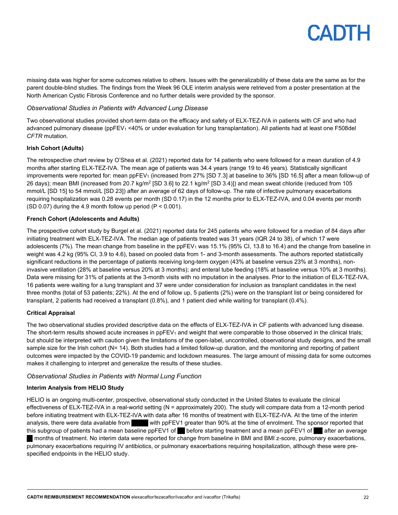missing data was higher for some outcomes relative to others. Issues with the generalizability of these data are the same as for the parent double-blind studies. The findings from the Week 96 OLE interim analysis were retrieved from a poster presentation at the North American Cystic Fibrosis Conference and no further details were provided by the sponsor.

#### *Observational Studies in Patients with Advanced Lung Disease*

Two observational studies provided short-term data on the efficacy and safety of ELX-TEZ-IVA in patients with CF and who had advanced pulmonary disease (ppFEV<sub>1</sub> <40% or under evaluation for lung transplantation). All patients had at least one F508del *CFTR* mutation.

#### **Irish Cohort (Adults)**

The retrospective chart review by O'Shea et al. (2021) reported data for 14 patients who were followed for a mean duration of 4.9 months after starting ELX-TEZ-IVA. The mean age of patients was 34.4 years (range 19 to 46 years). Statistically significant improvements were reported for: mean ppFEV<sub>1</sub> (increased from 27% [SD 7.3] at baseline to 36% [SD 16.5] after a mean follow-up of 26 days); mean BMI (increased from 20.7 kg/m<sup>2</sup> [SD 3.6] to 22.1 kg/m<sup>2</sup> [SD 3.4]]) and mean sweat chloride (reduced from 105 mmol/L [SD 15] to 54 mmol/L [SD 23]) after an average of 62 days of follow-up. The rate of infective pulmonary exacerbations requiring hospitalization was 0.28 events per month (SD 0.17) in the 12 months prior to ELX-TEZ-IVA, and 0.04 events per month (SD 0.07) during the 4.9 month follow up period  $(P < 0.001)$ .

#### **French Cohort (Adolescents and Adults)**

The prospective cohort study by Burgel et al. (2021) reported data for 245 patients who were followed for a median of 84 days after initiating treatment with ELX-TEZ-IVA. The median age of patients treated was 31 years (IQR 24 to 38), of which 17 were adolescents (7%). The mean change from baseline in the ppFEV<sub>1</sub> was 15.1% (95% Cl, 13.8 to 16.4) and the change from baseline in weight was 4.2 kg (95% CI, 3.9 to 4.6), based on pooled data from 1- and 3-month assessments. The authors reported statistically significant reductions in the percentage of patients receiving long-term oxygen (43% at baseline versus 23% at 3 months), noninvasive ventilation (28% at baseline versus 20% at 3 months); and enteral tube feeding (18% at baseline versus 10% at 3 months). Data were missing for 31% of patients at the 3-month visits with no imputation in the analyses. Prior to the initiation of ELX-TEZ-IVA, 16 patients were waiting for a lung transplant and 37 were under consideration for inclusion as transplant candidates in the next three months (total of 53 patients; 22%). At the end of follow up, 5 patients (2%) were on the transplant list or being considered for transplant, 2 patients had received a transplant (0.8%), and 1 patient died while waiting for transplant (0.4%).

#### **Critical Appraisal**

The two observational studies provided descriptive data on the effects of ELX-TEZ-IVA in CF patients with advanced lung disease. The short-term results showed acute increases in  $ppFEV<sub>1</sub>$  and weight that were comparable to those observed in the clinical trials; but should be interpreted with caution given the limitations of the open-label, uncontrolled, observational study designs, and the small sample size for the Irish cohort (N= 14). Both studies had a limited follow-up duration, and the monitoring and reporting of patient outcomes were impacted by the COVID-19 pandemic and lockdown measures. The large amount of missing data for some outcomes makes it challenging to interpret and generalize the results of these studies.

#### *Observational Studies in Patients with Normal Lung Function*

#### **Interim Analysis from HELIO Study**

HELIO is an ongoing multi-center, prospective, observational study conducted in the United States to evaluate the clinical effectiveness of ELX-TEZ-IVA in a real-world setting (N = approximately 200). The study will compare data from a 12-month period before initiating treatment with ELX-TEZ-IVA with data after 16 months of treatment with ELX-TEZ-IVA. At the time of the interim analysis, there were data available from with ppFEV1 greater than 90% at the time of enrolment. The sponsor reported that this subgroup of patients had a mean baseline ppFEV1 of before starting treatment and a mean ppFEV1 of after an average |||| months of treatment. No interim data were reported for change from baseline in BMI and BMI z-score, pulmonary exacerbations, pulmonary exacerbations requiring IV antibiotics, or pulmonary exacerbations requiring hospitalization, although these were prespecified endpoints in the HELIO study.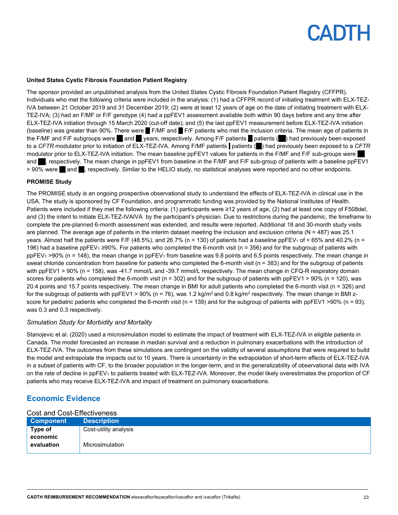#### **United States Cystic Fibrosis Foundation Patient Registry**

The sponsor provided an unpublished analysis from the United States Cystic Fibrosis Foundation Patient Registry (CFFPR). Individuals who met the following criteria were included in the analysis: (1) had a CFFPR record of initiating treatment with ELX-TEZ-IVA between 21 October 2019 and 31 December 2019; (2) were at least 12 years of age on the date of initiating treatment with ELX-TEZ-IVA; (3) had an F/MF or F/F genotype (4) had a ppFEV1 assessment available both within 90 days before and any time after ELX-TEZ-IVA initiation through 15 March 2020 (cut-off date); and (5) the last ppFEV1 measurement before ELX-TEZ-IVA initiation (baseline) was greater than 90%. There were  $\blacksquare$  F/MF and  $\blacksquare$  F/F patients who met the inclusion criteria. The mean age of patients in the F/MF and F/F subgroups were and stress respectively. Among F/F patients patients (seeper exposed to a *CFTR* modulator prior to initiation of ELX-TEZ-IVA. Among F/MF patients | patients (||||) had previously been exposed to a *CFTR* modulator prior to ELX-TEZ-IVA initiation. The mean baseline ppFEV1 values for patients in the F/MF and F/F sub-groups were and ||, respectively. The mean change in ppFEV1 from baseline in the F/MF and F/F sub-group of patients with a baseline ppFEV1 > 90% were and , respectively. Similar to the HELIO study, no statistical analyses were reported and no other endpoints.

#### **PROMISE Study**

The PROMISE study is an ongoing prospective observational study to understand the effects of ELX-TEZ-IVA in clinical use in the USA. The study is sponsored by CF Foundation, and programmatic funding was provided by the National Institutes of Health. Patients were included if they met the following criteria: (1) participants were ≥12 years of age, (2) had at least one copy of F508del, and (3) the intent to initiate ELX-TEZ-IVAIVA by the participant's physician. Due to restrictions during the pandemic, the timeframe to complete the pre-planned 6-month assessment was extended, and results were reported. Additional 18 and 30-month study visits are planned. The average age of patients in the interim dataset meeting the inclusion and exclusion criteria ( $N = 487$ ) was 25.1 years. Almost half the patients were F/F (48.5%), and 26.7% (n = 130) of patients had a baseline ppFEV<sub>1</sub> of < 65% and 40.2% (n = 196) had a baseline ppFEV<sub>1</sub> ≥90%. For patients who completed the 6-month visit (n = 356) and for the subgroup of patients with  $ppFEV_1 > 90%$  (n = 148), the mean change in  $ppFEV_1$  from baseline was 9.8 points and 6.5 points respectively. The mean change in sweat chloride concentration from baseline for patients who completed the 6-month visit (n = 383) and for the subgroup of patients with ppFEV1 > 90% (n = 158), was -41.7 mmol/L and -39.7 mmol/L respectively. The mean change in CFQ-R respiratory domain scores for patients who completed the 6-month visit (n = 302) and for the subgroup of patients with ppFEV1 > 90% (n = 120), was 20.4 points and 15.7 points respectively. The mean change in BMI for adult patients who completed the 6-month visit (n = 326) and for the subgroup of patients with ppFEV1 > 90% (n = 76), was 1.2 kg/m<sup>2</sup> and 0.8 kg/m<sup>2</sup> respectively. The mean change in BMI zscore for pediatric patients who completed the 6-month visit ( $n = 139$ ) and for the subgroup of patients with ppFEV1 >90% ( $n = 93$ ), was 0.3 and 0.3 respectively.

#### *Simulation Study for Morbidity and Mortality*

Stanojevic et al. (2020) used a microsimulation model to estimate the impact of treatment with ELX-TEZ-IVA in eligible patients in Canada. The model forecasted an increase in median survival and a reduction in pulmonary exacerbations with the introduction of ELX-TEZ-IVA. The outcomes from these simulations are contingent on the validity of several assumptions that were required to build the model and extrapolate the impacts out to 10 years. There is uncertainty in the extrapolation of short-term effects of ELX-TEZ-IVA in a subset of patients with CF, to the broader population in the longer-term, and in the generalizability of observational data with IVA on the rate of decline in ppFEV<sub>1</sub> to patients treated with ELX-TEZ-IVA. Moreover, the model likely overestimates the proportion of CF patients who may receive ELX-TEZ-IVA and impact of treatment on pulmonary exacerbations.

### **Economic Evidence**

#### Cost and Cost-Effectiveness

| <b>Component</b>       | <b>Description</b>    |
|------------------------|-----------------------|
| Type of                | Cost-utility analysis |
| economic<br>evaluation | Microsimulation       |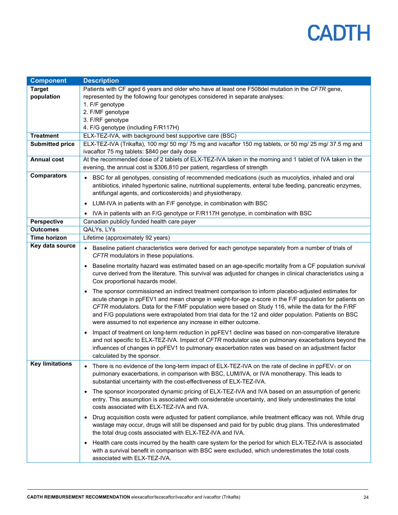| <b>Component</b>       | <b>Description</b>                                                                                                                                                                                                                                                                                                                                                                                                                                                                             |
|------------------------|------------------------------------------------------------------------------------------------------------------------------------------------------------------------------------------------------------------------------------------------------------------------------------------------------------------------------------------------------------------------------------------------------------------------------------------------------------------------------------------------|
| <b>Target</b>          | Patients with CF aged 6 years and older who have at least one F508del mutation in the CFTR gene,                                                                                                                                                                                                                                                                                                                                                                                               |
| population             | represented by the following four genotypes considered in separate analyses:                                                                                                                                                                                                                                                                                                                                                                                                                   |
|                        | 1. F/F genotype                                                                                                                                                                                                                                                                                                                                                                                                                                                                                |
|                        | 2. F/MF genotype                                                                                                                                                                                                                                                                                                                                                                                                                                                                               |
|                        | 3. F/RF genotype                                                                                                                                                                                                                                                                                                                                                                                                                                                                               |
|                        | 4. F/G genotype (including F/R117H)                                                                                                                                                                                                                                                                                                                                                                                                                                                            |
| <b>Treatment</b>       | ELX-TEZ-IVA, with background best supportive care (BSC)                                                                                                                                                                                                                                                                                                                                                                                                                                        |
| Submitted price        | ELX-TEZ-IVA (Trikafta), 100 mg/ 50 mg/ 75 mg and ivacaftor 150 mg tablets, or 50 mg/ 25 mg/ 37.5 mg and                                                                                                                                                                                                                                                                                                                                                                                        |
|                        | ivacaftor 75 mg tablets: \$840 per daily dose                                                                                                                                                                                                                                                                                                                                                                                                                                                  |
| <b>Annual cost</b>     | At the recommended dose of 2 tablets of ELX-TEZ-IVA taken in the morning and 1 tablet of IVA taken in the                                                                                                                                                                                                                                                                                                                                                                                      |
|                        | evening, the annual cost is \$306,810 per patient, regardless of strength                                                                                                                                                                                                                                                                                                                                                                                                                      |
| <b>Comparators</b>     | • BSC for all genotypes, consisting of recommended medications (such as mucolytics, inhaled and oral<br>antibiotics, inhaled hypertonic saline, nutritional supplements, enteral tube feeding, pancreatic enzymes,<br>antifungal agents, and corticosteroids) and physiotherapy.                                                                                                                                                                                                               |
|                        | LUM-IVA in patients with an F/F genotype, in combination with BSC                                                                                                                                                                                                                                                                                                                                                                                                                              |
|                        | IVA in patients with an F/G genotype or F/R117H genotype, in combination with BSC                                                                                                                                                                                                                                                                                                                                                                                                              |
| Perspective            | Canadian publicly funded health care payer                                                                                                                                                                                                                                                                                                                                                                                                                                                     |
| <b>Outcomes</b>        | QALYs, LYs                                                                                                                                                                                                                                                                                                                                                                                                                                                                                     |
| <b>Time horizon</b>    | Lifetime (approximately 92 years)                                                                                                                                                                                                                                                                                                                                                                                                                                                              |
| Key data source        | Baseline patient characteristics were derived for each genotype separately from a number of trials of<br>$\bullet$<br>CFTR modulators in these populations.                                                                                                                                                                                                                                                                                                                                    |
|                        | Baseline mortality hazard was estimated based on an age-specific mortality from a CF population survival<br>curve derived from the literature. This survival was adjusted for changes in clinical characteristics using a<br>Cox proportional hazards model.                                                                                                                                                                                                                                   |
|                        | The sponsor commissioned an indirect treatment comparison to inform placebo-adjusted estimates for<br>acute change in ppFEV1 and mean change in weight-for-age z-score in the F/F population for patients on<br>CFTR modulators. Data for the F/MF population were based on Study 116, while the data for the F/RF<br>and F/G populations were extrapolated from trial data for the 12 and older population. Patients on BSC<br>were assumed to not experience any increase in either outcome. |
|                        | Impact of treatment on long-term reduction in ppFEV1 decline was based on non-comparative literature<br>and not specific to ELX-TEZ-IVA. Impact of CFTR modulator use on pulmonary exacerbations beyond the<br>influences of changes in ppFEV1 to pulmonary exacerbation rates was based on an adjustment factor<br>calculated by the sponsor.                                                                                                                                                 |
| <b>Key limitations</b> | There is no evidence of the long-term impact of ELX-TEZ-IVA on the rate of decline in ppFEV1 or on<br>pulmonary exacerbations, in comparison with BSC, LUM/IVA, or IVA monotherapy. This leads to<br>substantial uncertainty with the cost-effectiveness of ELX-TEZ-IVA.                                                                                                                                                                                                                       |
|                        | The sponsor incorporated dynamic pricing of ELX-TEZ-IVA and IVA based on an assumption of generic<br>entry. This assumption is associated with considerable uncertainty, and likely underestimates the total<br>costs associated with ELX-TEZ-IVA and IVA.                                                                                                                                                                                                                                     |
|                        | Drug acquisition costs were adjusted for patient compliance, while treatment efficacy was not. While drug<br>wastage may occur, drugs will still be dispensed and paid for by public drug plans. This underestimated<br>the total drug costs associated with ELX-TEZ-IVA and IVA.                                                                                                                                                                                                              |
|                        | Health care costs incurred by the health care system for the period for which ELX-TEZ-IVA is associated<br>$\bullet$<br>with a survival benefit in comparison with BSC were excluded, which underestimates the total costs<br>associated with ELX-TEZ-IVA.                                                                                                                                                                                                                                     |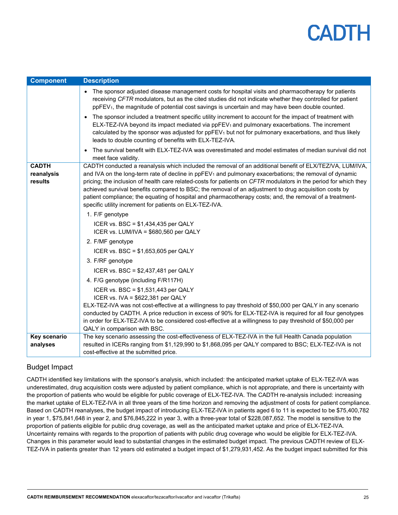| <b>Component</b>                      | <b>Description</b>                                                                                                                                                                                                                                                                                                                                                                                                                                                                                                                                                                                                                 |
|---------------------------------------|------------------------------------------------------------------------------------------------------------------------------------------------------------------------------------------------------------------------------------------------------------------------------------------------------------------------------------------------------------------------------------------------------------------------------------------------------------------------------------------------------------------------------------------------------------------------------------------------------------------------------------|
|                                       | The sponsor adjusted disease management costs for hospital visits and pharmacotherapy for patients<br>receiving CFTR modulators, but as the cited studies did not indicate whether they controlled for patient<br>ppFEV <sub>1</sub> , the magnitude of potential cost savings is uncertain and may have been double counted.                                                                                                                                                                                                                                                                                                      |
|                                       | The sponsor included a treatment specific utility increment to account for the impact of treatment with<br>$\bullet$<br>ELX-TEZ-IVA beyond its impact mediated via ppFEV <sub>1</sub> and pulmonary exacerbations. The increment<br>calculated by the sponsor was adjusted for $ppFEV1$ but not for pulmonary exacerbations, and thus likely<br>leads to double counting of benefits with ELX-TEZ-IVA.                                                                                                                                                                                                                             |
|                                       | The survival benefit with ELX-TEZ-IVA was overestimated and model estimates of median survival did not<br>$\bullet$<br>meet face validity.                                                                                                                                                                                                                                                                                                                                                                                                                                                                                         |
| <b>CADTH</b><br>reanalysis<br>results | CADTH conducted a reanalysis which included the removal of an additional benefit of ELX/TEZ/VA, LUM/IVA,<br>and IVA on the long-term rate of decline in ppFEV <sub>1</sub> and pulmonary exacerbations; the removal of dynamic<br>pricing; the inclusion of health care related-costs for patients on CFTR modulators in the period for which they<br>achieved survival benefits compared to BSC; the removal of an adjustment to drug acquisition costs by<br>patient compliance; the equating of hospital and pharmacotherapy costs; and, the removal of a treatment-<br>specific utility increment for patients on ELX-TEZ-IVA. |
|                                       | 1. F/F genotype                                                                                                                                                                                                                                                                                                                                                                                                                                                                                                                                                                                                                    |
|                                       | ICER vs. BSC = \$1,434,435 per QALY<br>ICER vs. LUM/IVA = \$680,560 per QALY                                                                                                                                                                                                                                                                                                                                                                                                                                                                                                                                                       |
|                                       | 2. F/MF genotype                                                                                                                                                                                                                                                                                                                                                                                                                                                                                                                                                                                                                   |
|                                       | ICER vs. BSC = $$1,653,605$ per QALY                                                                                                                                                                                                                                                                                                                                                                                                                                                                                                                                                                                               |
|                                       | 3. F/RF genotype                                                                                                                                                                                                                                                                                                                                                                                                                                                                                                                                                                                                                   |
|                                       | ICER vs. BSC = \$2,437,481 per QALY                                                                                                                                                                                                                                                                                                                                                                                                                                                                                                                                                                                                |
|                                       | 4. F/G genotype (including F/R117H)                                                                                                                                                                                                                                                                                                                                                                                                                                                                                                                                                                                                |
|                                       | ICER vs. BSC = \$1,531,443 per QALY<br>ICER vs. IVA = \$622,381 per QALY                                                                                                                                                                                                                                                                                                                                                                                                                                                                                                                                                           |
|                                       | ELX-TEZ-IVA was not cost-effective at a willingness to pay threshold of \$50,000 per QALY in any scenario<br>conducted by CADTH. A price reduction in excess of 90% for ELX-TEZ-IVA is required for all four genotypes<br>in order for ELX-TEZ-IVA to be considered cost-effective at a willingness to pay threshold of \$50,000 per<br>QALY in comparison with BSC.                                                                                                                                                                                                                                                               |
| Key scenario                          | The key scenario assessing the cost-effectiveness of ELX-TEZ-IVA in the full Health Canada population                                                                                                                                                                                                                                                                                                                                                                                                                                                                                                                              |
| analyses                              | resulted in ICERs ranging from \$1,129,990 to \$1,868,095 per QALY compared to BSC; ELX-TEZ-IVA is not<br>cost-effective at the submitted price.                                                                                                                                                                                                                                                                                                                                                                                                                                                                                   |

## Budget Impact

CADTH identified key limitations with the sponsor's analysis, which included: the anticipated market uptake of ELX-TEZ-IVA was underestimated, drug acquisition costs were adjusted by patient compliance, which is not appropriate, and there is uncertainty with the proportion of patients who would be eligible for public coverage of ELX-TEZ-IVA. The CADTH re-analysis included: increasing the market uptake of ELX-TEZ-IVA in all three years of the time horizon and removing the adjustment of costs for patient compliance. Based on CADTH reanalyses, the budget impact of introducing ELX-TEZ-IVA in patients aged 6 to 11 is expected to be \$75,400,782 in year 1, \$75,841,648 in year 2, and \$76,845,222 in year 3, with a three-year total of \$228,087,652. The model is sensitive to the proportion of patients eligible for public drug coverage, as well as the anticipated market uptake and price of ELX-TEZ-IVA. Uncertainty remains with regards to the proportion of patients with public drug coverage who would be eligible for ELX-TEZ-IVA. Changes in this parameter would lead to substantial changes in the estimated budget impact. The previous CADTH review of ELX-TEZ-IVA in patients greater than 12 years old estimated a budget impact of \$1,279,931,452. As the budget impact submitted for this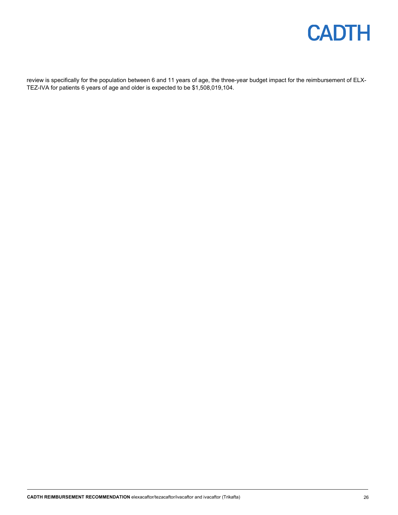

review is specifically for the population between 6 and 11 years of age, the three-year budget impact for the reimbursement of ELX-TEZ-IVA for patients 6 years of age and older is expected to be \$1,508,019,104.